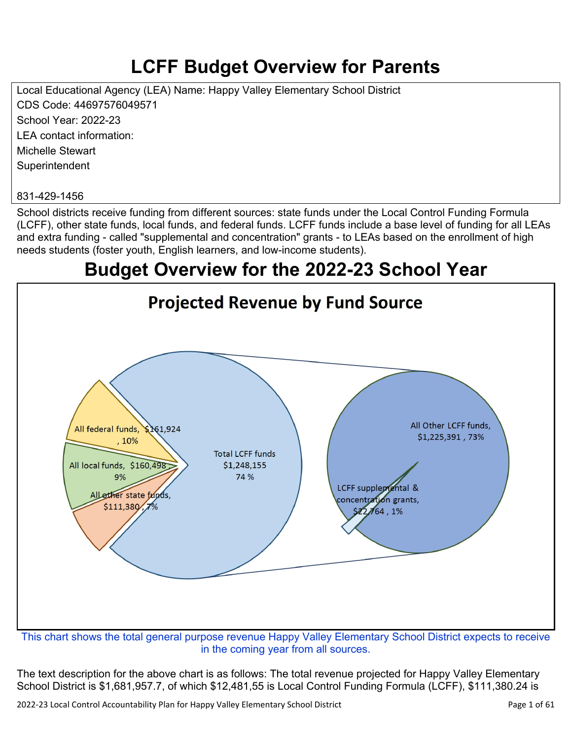# **LCFF Budget Overview for Parents**

Local Educational Agency (LEA) Name: Happy Valley Elementary School District CDS Code: 44697576049571 School Year: 2022-23 LEA contact information: Michelle Stewart **Superintendent** 

#### 831-429-1456

School districts receive funding from different sources: state funds under the Local Control Funding Formula (LCFF), other state funds, local funds, and federal funds. LCFF funds include a base level of funding for all LEAs and extra funding - called "supplemental and concentration" grants - to LEAs based on the enrollment of high needs students (foster youth, English learners, and low-income students).

## **Budget Overview for the 2022-23 School Year**



in the coming year from all sources.

The text description for the above chart is as follows: The total revenue projected for Happy Valley Elementary School District is \$1,681,957.7, of which \$12,481,55 is Local Control Funding Formula (LCFF), \$111,380.24 is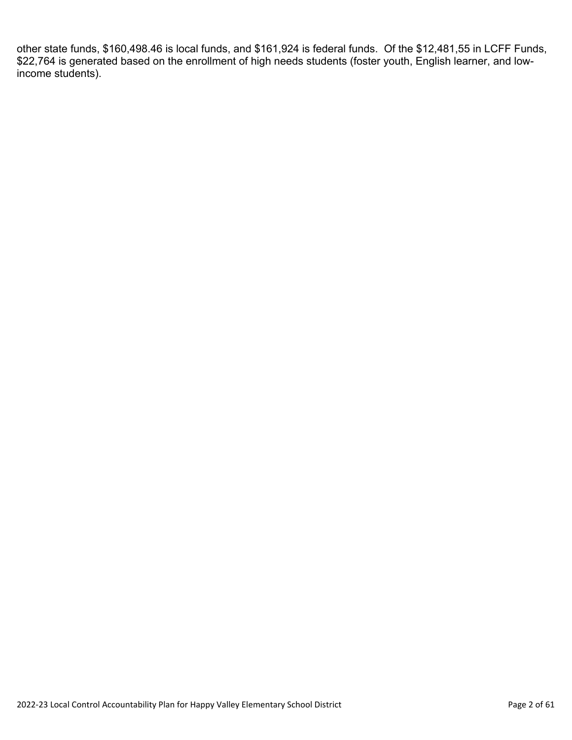other state funds, \$160,498.46 is local funds, and \$161,924 is federal funds. Of the \$12,481,55 in LCFF Funds, \$22,764 is generated based on the enrollment of high needs students (foster youth, English learner, and lowincome students).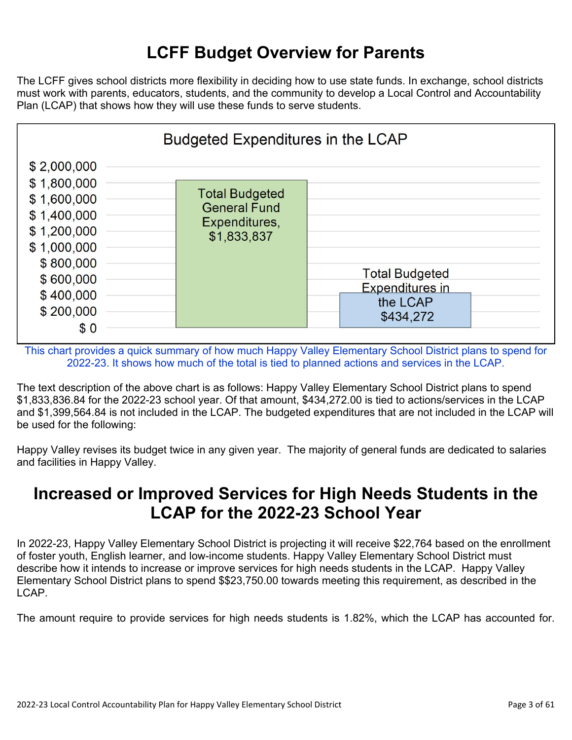# **LCFF Budget Overview for Parents**

The LCFF gives school districts more flexibility in deciding how to use state funds. In exchange, school districts must work with parents, educators, students, and the community to develop a Local Control and Accountability Plan (LCAP) that shows how they will use these funds to serve students.



This chart provides a quick summary of how much Happy Valley Elementary School District plans to spend for 2022-23. It shows how much of the total is tied to planned actions and services in the LCAP.

The text description of the above chart is as follows: Happy Valley Elementary School District plans to spend \$1,833,836.84 for the 2022-23 school year. Of that amount, \$434,272.00 is tied to actions/services in the LCAP and \$1,399,564.84 is not included in the LCAP. The budgeted expenditures that are not included in the LCAP will be used for the following:

Happy Valley revises its budget twice in any given year. The majority of general funds are dedicated to salaries and facilities in Happy Valley.

## **Increased or Improved Services for High Needs Students in the LCAP for the 2022-23 School Year**

In 2022-23, Happy Valley Elementary School District is projecting it will receive \$22,764 based on the enrollment of foster youth, English learner, and low-income students. Happy Valley Elementary School District must describe how it intends to increase or improve services for high needs students in the LCAP. Happy Valley Elementary School District plans to spend \$\$23,750.00 towards meeting this requirement, as described in the LCAP.

The amount require to provide services for high needs students is 1.82%, which the LCAP has accounted for.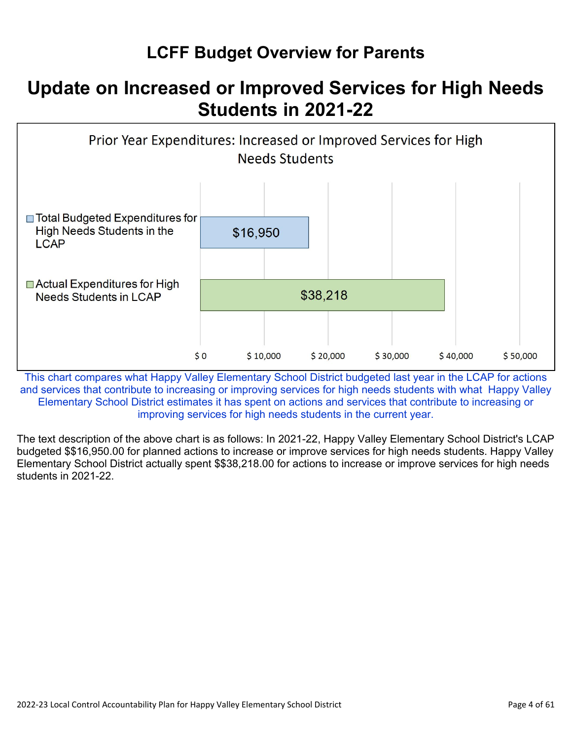# **LCFF Budget Overview for Parents**

# **Update on Increased or Improved Services for High Needs Students in 2021-22**



This chart compares what Happy Valley Elementary School District budgeted last year in the LCAP for actions and services that contribute to increasing or improving services for high needs students with what Happy Valley Elementary School District estimates it has spent on actions and services that contribute to increasing or improving services for high needs students in the current year.

The text description of the above chart is as follows: In 2021-22, Happy Valley Elementary School District's LCAP budgeted \$\$16,950.00 for planned actions to increase or improve services for high needs students. Happy Valley Elementary School District actually spent \$\$38,218.00 for actions to increase or improve services for high needs students in 2021-22.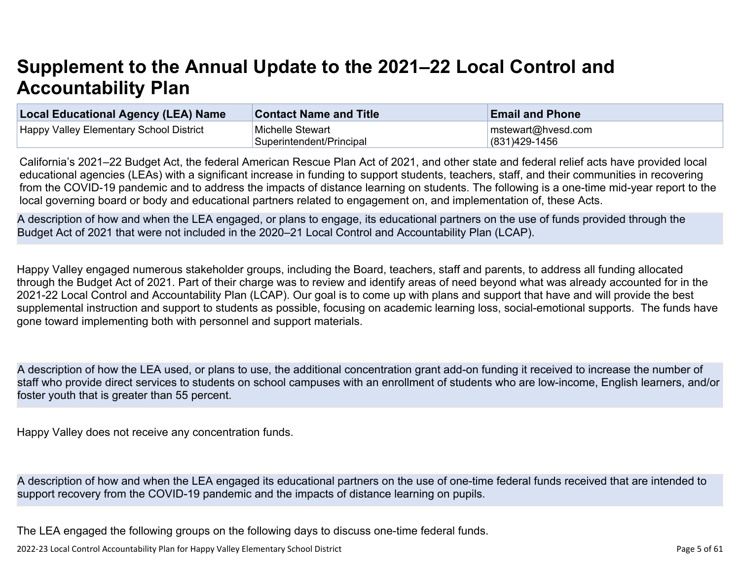# **Supplement to the Annual Update to the 2021–22 Local Control and Accountability Plan**

| Local Educational Agency (LEA) Name     | <b>Contact Name and Title</b> | <b>Email and Phone</b>     |
|-----------------------------------------|-------------------------------|----------------------------|
| Happy Valley Elementary School District | Michelle Stewart              | $\vert$ mstewart@hvesd.com |
|                                         | Superintendent/Principal      | $(831)429-1456$            |

California's 2021–22 Budget Act, the federal American Rescue Plan Act of 2021, and other state and federal relief acts have provided local educational agencies (LEAs) with a significant increase in funding to support students, teachers, staff, and their communities in recovering from the COVID-19 pandemic and to address the impacts of distance learning on students. The following is a one-time mid-year report to the local governing board or body and educational partners related to engagement on, and implementation of, these Acts.

A description of how and when the LEA engaged, or plans to engage, its educational partners on the use of funds provided through the Budget Act of 2021 that were not included in the 2020–21 Local Control and Accountability Plan (LCAP).

Happy Valley engaged numerous stakeholder groups, including the Board, teachers, staff and parents, to address all funding allocated through the Budget Act of 2021. Part of their charge was to review and identify areas of need beyond what was already accounted for in the 2021-22 Local Control and Accountability Plan (LCAP). Our goal is to come up with plans and support that have and will provide the best supplemental instruction and support to students as possible, focusing on academic learning loss, social-emotional supports. The funds have gone toward implementing both with personnel and support materials.

A description of how the LEA used, or plans to use, the additional concentration grant add-on funding it received to increase the number of staff who provide direct services to students on school campuses with an enrollment of students who are low-income, English learners, and/or foster youth that is greater than 55 percent.

Happy Valley does not receive any concentration funds.

A description of how and when the LEA engaged its educational partners on the use of one-time federal funds received that are intended to support recovery from the COVID-19 pandemic and the impacts of distance learning on pupils.

The LEA engaged the following groups on the following days to discuss one-time federal funds.

2022-23 Local Control Accountability Plan for Happy Valley Elementary School District **Page 1 of 51** and 7 and 7 and 7 and 7 and 7 and 7 and 7 and 7 and 7 and 7 and 7 and 7 and 7 and 7 and 7 and 7 and 7 and 7 and 7 and 7 a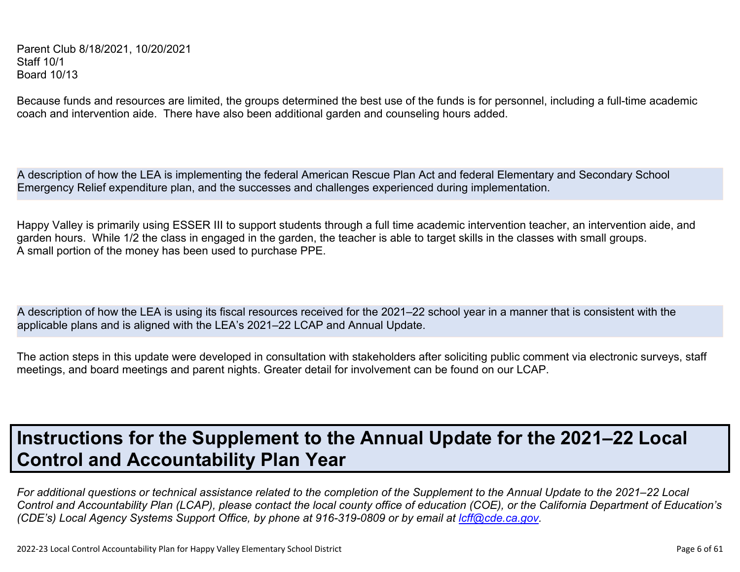Parent Club 8/18/2021, 10/20/2021 Staff 10/1 Board 10/13

Because funds and resources are limited, the groups determined the best use of the funds is for personnel, including a full-time academic coach and intervention aide. There have also been additional garden and counseling hours added.

A description of how the LEA is implementing the federal American Rescue Plan Act and federal Elementary and Secondary School Emergency Relief expenditure plan, and the successes and challenges experienced during implementation.

Happy Valley is primarily using ESSER III to support students through a full time academic intervention teacher, an intervention aide, and garden hours. While 1/2 the class in engaged in the garden, the teacher is able to target skills in the classes with small groups. A small portion of the money has been used to purchase PPE.

A description of how the LEA is using its fiscal resources received for the 2021–22 school year in a manner that is consistent with the applicable plans and is aligned with the LEA's 2021–22 LCAP and Annual Update.

The action steps in this update were developed in consultation with stakeholders after soliciting public comment via electronic surveys, staff meetings, and board meetings and parent nights. Greater detail for involvement can be found on our LCAP.

# **Instructions for the Supplement to the Annual Update for the 2021–22 Local Control and Accountability Plan Year**

*For additional questions or technical assistance related to the completion of the Supplement to the Annual Update to the 2021–22 Local Control and Accountability Plan (LCAP), please contact the local county office of education (COE), or the California Department of Education's (CDE's)* Local Agency Systems Support Office, by phone at 916-319-0809 or by email at *[lcff@cde.ca.gov](mailto:lcff@cde.ca.gov)*.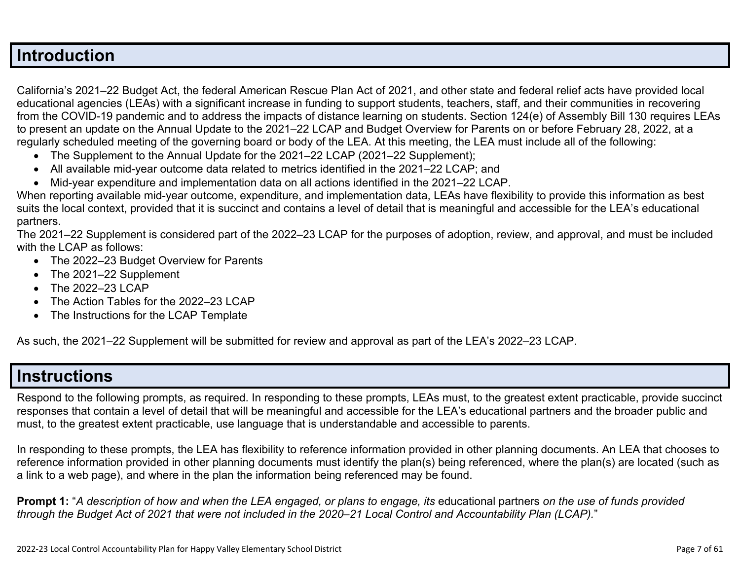### **Introduction**

California's 2021–22 Budget Act, the federal American Rescue Plan Act of 2021, and other state and federal relief acts have provided local educational agencies (LEAs) with a significant increase in funding to support students, teachers, staff, and their communities in recovering from the COVID-19 pandemic and to address the impacts of distance learning on students. Section 124(e) of Assembly Bill 130 requires LEAs to present an update on the Annual Update to the 2021–22 LCAP and Budget Overview for Parents on or before February 28, 2022, at a regularly scheduled meeting of the governing board or body of the LEA. At this meeting, the LEA must include all of the following:

- The Supplement to the Annual Update for the 2021–22 LCAP (2021–22 Supplement);
- All available mid-year outcome data related to metrics identified in the 2021–22 LCAP; and
- Mid-year expenditure and implementation data on all actions identified in the 2021–22 LCAP.

When reporting available mid-year outcome, expenditure, and implementation data, LEAs have flexibility to provide this information as best suits the local context, provided that it is succinct and contains a level of detail that is meaningful and accessible for the LEA's educational partners.

The 2021–22 Supplement is considered part of the 2022–23 LCAP for the purposes of adoption, review, and approval, and must be included with the LCAP as follows:

- The 2022–23 Budget Overview for Parents
- The 2021-22 Supplement
- The 2022-23 LCAP
- The Action Tables for the 2022–23 LCAP
- The Instructions for the LCAP Template

As such, the 2021–22 Supplement will be submitted for review and approval as part of the LEA's 2022–23 LCAP.

## **Instructions**

Respond to the following prompts, as required. In responding to these prompts, LEAs must, to the greatest extent practicable, provide succinct responses that contain a level of detail that will be meaningful and accessible for the LEA's educational partners and the broader public and must, to the greatest extent practicable, use language that is understandable and accessible to parents.

In responding to these prompts, the LEA has flexibility to reference information provided in other planning documents. An LEA that chooses to reference information provided in other planning documents must identify the plan(s) being referenced, where the plan(s) are located (such as a link to a web page), and where in the plan the information being referenced may be found.

**Prompt 1:** "*A description of how and when the LEA engaged, or plans to engage, its* educational partners *on the use of funds provided through the Budget Act of 2021 that were not included in the 2020–21 Local Control and Accountability Plan (LCAP).*"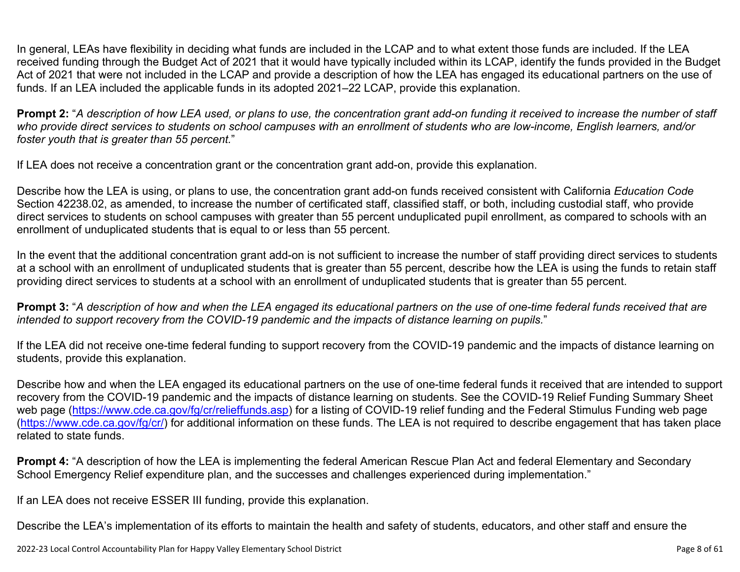In general, LEAs have flexibility in deciding what funds are included in the LCAP and to what extent those funds are included. If the LEA received funding through the Budget Act of 2021 that it would have typically included within its LCAP, identify the funds provided in the Budget Act of 2021 that were not included in the LCAP and provide a description of how the LEA has engaged its educational partners on the use of funds. If an LEA included the applicable funds in its adopted 2021–22 LCAP, provide this explanation.

**Prompt 2:** "*A description of how LEA used, or plans to use, the concentration grant add-on funding it received to increase the number of staff who provide direct services to students on school campuses with an enrollment of students who are low-income, English learners, and/or foster youth that is greater than 55 percent.*"

If LEA does not receive a concentration grant or the concentration grant add-on, provide this explanation.

Describe how the LEA is using, or plans to use, the concentration grant add-on funds received consistent with California *Education Code* Section 42238.02, as amended, to increase the number of certificated staff, classified staff, or both, including custodial staff, who provide direct services to students on school campuses with greater than 55 percent unduplicated pupil enrollment, as compared to schools with an enrollment of unduplicated students that is equal to or less than 55 percent.

In the event that the additional concentration grant add-on is not sufficient to increase the number of staff providing direct services to students at a school with an enrollment of unduplicated students that is greater than 55 percent, describe how the LEA is using the funds to retain staff providing direct services to students at a school with an enrollment of unduplicated students that is greater than 55 percent.

**Prompt 3:** "*A description of how and when the LEA engaged its educational partners on the use of one-time federal funds received that are intended to support recovery from the COVID-19 pandemic and the impacts of distance learning on pupils.*"

If the LEA did not receive one-time federal funding to support recovery from the COVID-19 pandemic and the impacts of distance learning on students, provide this explanation.

Describe how and when the LEA engaged its educational partners on the use of one-time federal funds it received that are intended to support recovery from the COVID-19 pandemic and the impacts of distance learning on students. See the COVID-19 Relief Funding Summary Sheet web page [\(https://www.cde.ca.gov/fg/cr/relieffunds.asp\)](https://www.cde.ca.gov/fg/cr/relieffunds.asp) for a listing of COVID-19 relief funding and the Federal Stimulus Funding web page (<https://www.cde.ca.gov/fg/cr/>) for additional information on these funds. The LEA is not required to describe engagement that has taken place related to state funds.

**Prompt 4:** "A description of how the LEA is implementing the federal American Rescue Plan Act and federal Elementary and Secondary School Emergency Relief expenditure plan, and the successes and challenges experienced during implementation."

If an LEA does not receive ESSER III funding, provide this explanation.

Describe the LEA's implementation of its efforts to maintain the health and safety of students, educators, and other staff and ensure the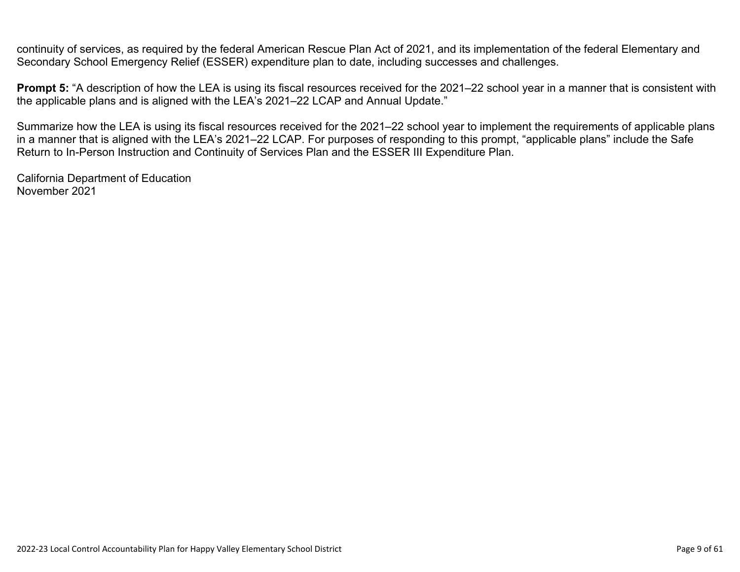continuity of services, as required by the federal American Rescue Plan Act of 2021, and its implementation of the federal Elementary and Secondary School Emergency Relief (ESSER) expenditure plan to date, including successes and challenges.

**Prompt 5:** "A description of how the LEA is using its fiscal resources received for the 2021–22 school year in a manner that is consistent with the applicable plans and is aligned with the LEA's 2021–22 LCAP and Annual Update."

Summarize how the LEA is using its fiscal resources received for the 2021–22 school year to implement the requirements of applicable plans in a manner that is aligned with the LEA's 2021–22 LCAP. For purposes of responding to this prompt, "applicable plans" include the Safe Return to In-Person Instruction and Continuity of Services Plan and the ESSER III Expenditure Plan.

California Department of Education November 2021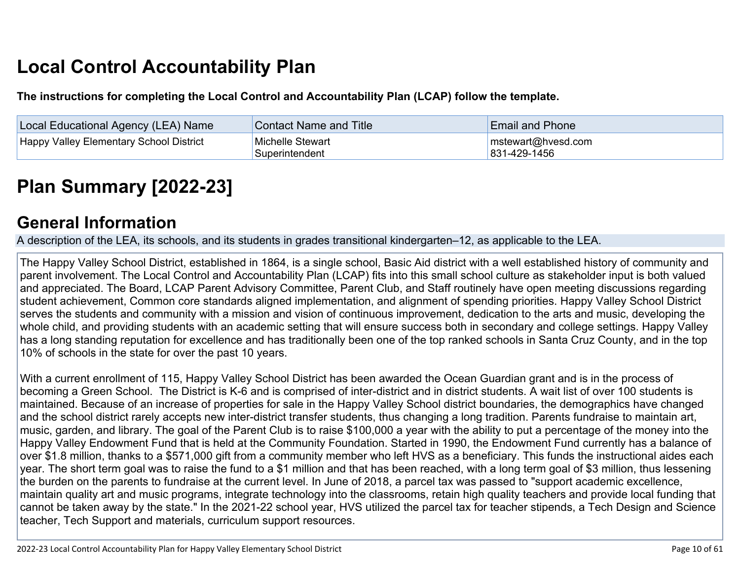# **Local Control Accountability Plan**

**The instructions for completing the Local Control and Accountability Plan (LCAP) follow the template.**

| Local Educational Agency (LEA) Name            | <b>Contact Name and Title</b>      | <b>Email and Phone</b>             |
|------------------------------------------------|------------------------------------|------------------------------------|
| <b>Happy Valley Elementary School District</b> | Michelle Stewart<br>Superintendent | mstewart@hvesd.com<br>831-429-1456 |

# **[Plan Summary \[2022-23\]](http://www.doc-tracking.com/screenshots/22LCAP/Instructions/22LCAPInstructions.htm#PlanSummary)**

## **[General Information](http://www.doc-tracking.com/screenshots/22LCAP/Instructions/22LCAPInstructions.htm#generalinformation)**

A description of the LEA, its schools, and its students in grades transitional kindergarten–12, as applicable to the LEA.

The Happy Valley School District, established in 1864, is a single school, Basic Aid district with a well established history of community and parent involvement. The Local Control and Accountability Plan (LCAP) fits into this small school culture as stakeholder input is both valued and appreciated. The Board, LCAP Parent Advisory Committee, Parent Club, and Staff routinely have open meeting discussions regarding student achievement, Common core standards aligned implementation, and alignment of spending priorities. Happy Valley School District serves the students and community with a mission and vision of continuous improvement, dedication to the arts and music, developing the whole child, and providing students with an academic setting that will ensure success both in secondary and college settings. Happy Valley has a long standing reputation for excellence and has traditionally been one of the top ranked schools in Santa Cruz County, and in the top 10% of schools in the state for over the past 10 years.

With a current enrollment of 115, Happy Valley School District has been awarded the Ocean Guardian grant and is in the process of becoming a Green School. The District is K-6 and is comprised of inter-district and in district students. A wait list of over 100 students is maintained. Because of an increase of properties for sale in the Happy Valley School district boundaries, the demographics have changed and the school district rarely accepts new inter-district transfer students, thus changing a long tradition. Parents fundraise to maintain art, music, garden, and library. The goal of the Parent Club is to raise \$100,000 a year with the ability to put a percentage of the money into the Happy Valley Endowment Fund that is held at the Community Foundation. Started in 1990, the Endowment Fund currently has a balance of over \$1.8 million, thanks to a \$571,000 gift from a community member who left HVS as a beneficiary. This funds the instructional aides each year. The short term goal was to raise the fund to a \$1 million and that has been reached, with a long term goal of \$3 million, thus lessening the burden on the parents to fundraise at the current level. In June of 2018, a parcel tax was passed to "support academic excellence, maintain quality art and music programs, integrate technology into the classrooms, retain high quality teachers and provide local funding that cannot be taken away by the state." In the 2021-22 school year, HVS utilized the parcel tax for teacher stipends, a Tech Design and Science teacher, Tech Support and materials, curriculum support resources.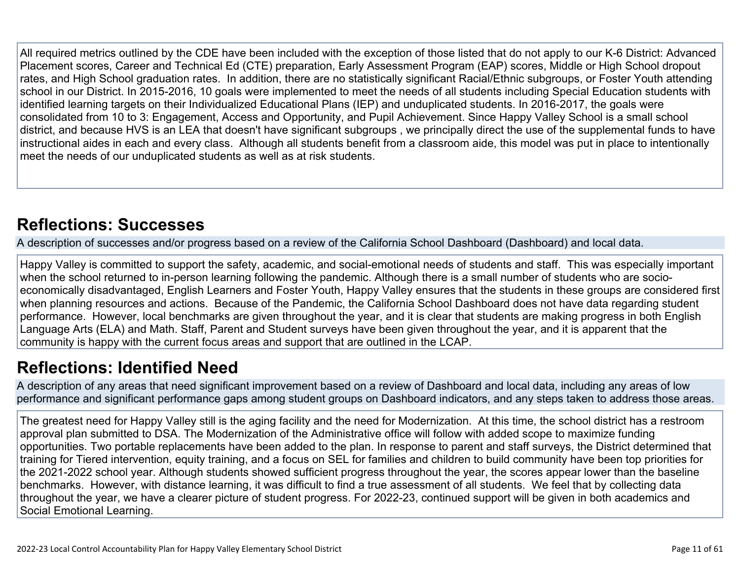All required metrics outlined by the CDE have been included with the exception of those listed that do not apply to our K-6 District: Advanced Placement scores, Career and Technical Ed (CTE) preparation, Early Assessment Program (EAP) scores, Middle or High School dropout rates, and High School graduation rates. In addition, there are no statistically significant Racial/Ethnic subgroups, or Foster Youth attending school in our District. In 2015-2016, 10 goals were implemented to meet the needs of all students including Special Education students with identified learning targets on their Individualized Educational Plans (IEP) and unduplicated students. In 2016-2017, the goals were consolidated from 10 to 3: Engagement, Access and Opportunity, and Pupil Achievement. Since Happy Valley School is a small school district, and because HVS is an LEA that doesn't have significant subgroups , we principally direct the use of the supplemental funds to have instructional aides in each and every class. Although all students benefit from a classroom aide, this model was put in place to intentionally meet the needs of our unduplicated students as well as at risk students.

# **[Reflections: Successes](http://www.doc-tracking.com/screenshots/22LCAP/Instructions/22LCAPInstructions.htm#ReflectionsSuccesses)**

A description of successes and/or progress based on a review of the California School Dashboard (Dashboard) and local data.

Happy Valley is committed to support the safety, academic, and social-emotional needs of students and staff. This was especially important when the school returned to in-person learning following the pandemic. Although there is a small number of students who are socioeconomically disadvantaged, English Learners and Foster Youth, Happy Valley ensures that the students in these groups are considered first when planning resources and actions. Because of the Pandemic, the California School Dashboard does not have data regarding student performance. However, local benchmarks are given throughout the year, and it is clear that students are making progress in both English Language Arts (ELA) and Math. Staff, Parent and Student surveys have been given throughout the year, and it is apparent that the community is happy with the current focus areas and support that are outlined in the LCAP.

# **[Reflections: Identified Need](http://www.doc-tracking.com/screenshots/22LCAP/Instructions/22LCAPInstructions.htm#ReflectionsIdentifiedNeed)**

A description of any areas that need significant improvement based on a review of Dashboard and local data, including any areas of low performance and significant performance gaps among student groups on Dashboard indicators, and any steps taken to address those areas.

The greatest need for Happy Valley still is the aging facility and the need for Modernization. At this time, the school district has a restroom approval plan submitted to DSA. The Modernization of the Administrative office will follow with added scope to maximize funding opportunities. Two portable replacements have been added to the plan. In response to parent and staff surveys, the District determined that training for Tiered intervention, equity training, and a focus on SEL for families and children to build community have been top priorities for the 2021-2022 school year. Although students showed sufficient progress throughout the year, the scores appear lower than the baseline benchmarks. However, with distance learning, it was difficult to find a true assessment of all students. We feel that by collecting data throughout the year, we have a clearer picture of student progress. For 2022-23, continued support will be given in both academics and Social Emotional Learning.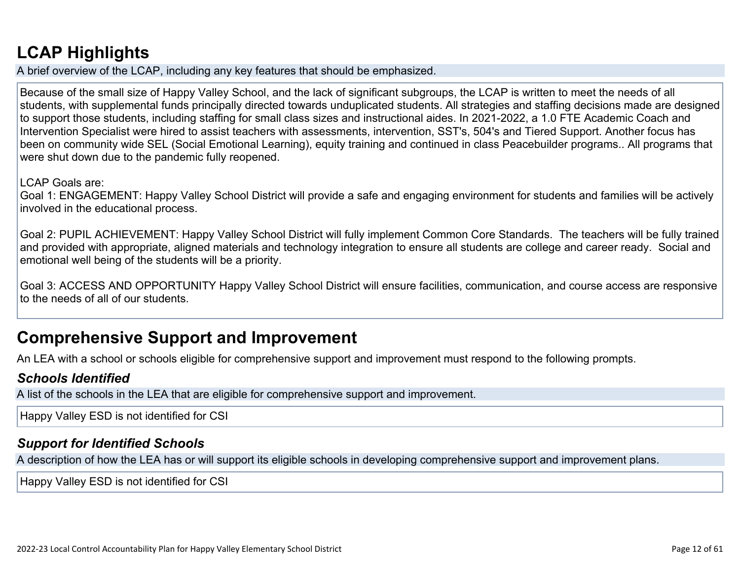# **[LCAP Highlights](http://www.doc-tracking.com/screenshots/22LCAP/Instructions/22LCAPInstructions.htm#LCAPHighlights)**

A brief overview of the LCAP, including any key features that should be emphasized.

Because of the small size of Happy Valley School, and the lack of significant subgroups, the LCAP is written to meet the needs of all students, with supplemental funds principally directed towards unduplicated students. All strategies and staffing decisions made are designed to support those students, including staffing for small class sizes and instructional aides. In 2021-2022, a 1.0 FTE Academic Coach and Intervention Specialist were hired to assist teachers with assessments, intervention, SST's, 504's and Tiered Support. Another focus has been on community wide SEL (Social Emotional Learning), equity training and continued in class Peacebuilder programs.. All programs that were shut down due to the pandemic fully reopened.

### LCAP Goals are:

Goal 1: ENGAGEMENT: Happy Valley School District will provide a safe and engaging environment for students and families will be actively involved in the educational process.

Goal 2: PUPIL ACHIEVEMENT: Happy Valley School District will fully implement Common Core Standards. The teachers will be fully trained and provided with appropriate, aligned materials and technology integration to ensure all students are college and career ready. Social and emotional well being of the students will be a priority.

Goal 3: ACCESS AND OPPORTUNITY Happy Valley School District will ensure facilities, communication, and course access are responsive to the needs of all of our students.

## **Comprehensive Support and Improvement**

An LEA with a school or schools eligible for comprehensive support and improvement must respond to the following prompts.

### *[Schools Identified](http://www.doc-tracking.com/screenshots/22LCAP/Instructions/22LCAPInstructions.htm#SchoolsIdentified)*

A list of the schools in the LEA that are eligible for comprehensive support and improvement.

Happy Valley ESD is not identified for CSI

### *[Support for Identified Schools](http://www.doc-tracking.com/screenshots/22LCAP/Instructions/22LCAPInstructions.htm#SupportforIdentifiedSchools)*

A description of how the LEA has or will support its eligible schools in developing comprehensive support and improvement plans.

Happy Valley ESD is not identified for CSI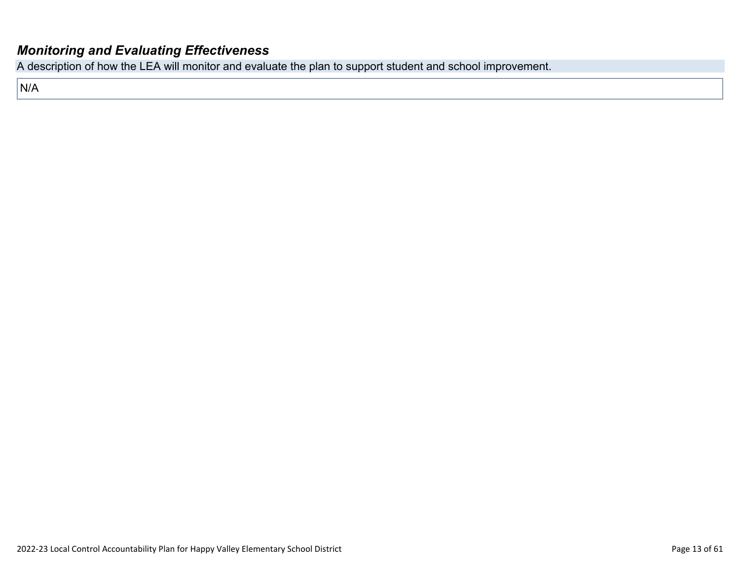### *[Monitoring and Evaluating Effectiveness](http://www.doc-tracking.com/screenshots/22LCAP/Instructions/22LCAPInstructions.htm#MonitoringandEvaluatingEffectiveness)*

A description of how the LEA will monitor and evaluate the plan to support student and school improvement.

N/A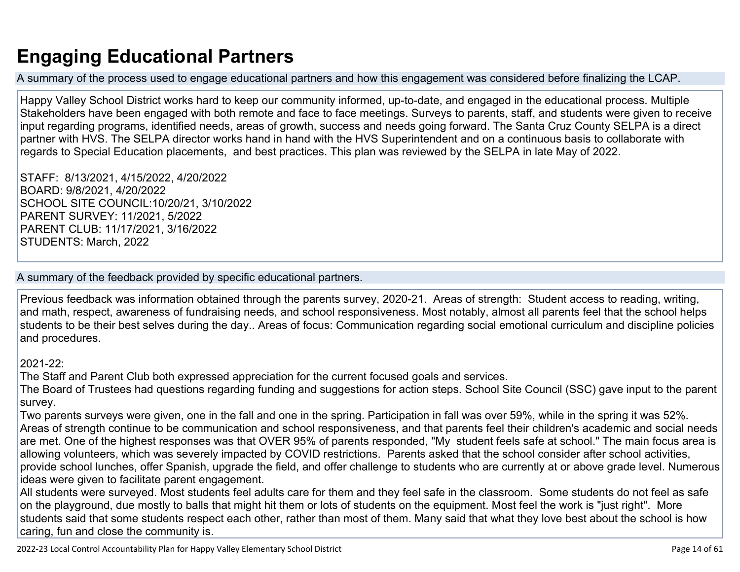# **Engaging Educational Partners**

A summary of the process used to engage educational partners and how this engagement was considered before finalizing the LCAP.

Happy Valley School District works hard to keep our community informed, up-to-date, and engaged in the educational process. Multiple Stakeholders have been engaged with both remote and face to face meetings. Surveys to parents, staff, and students were given to receive input regarding programs, identified needs, areas of growth, success and needs going forward. The Santa Cruz County SELPA is a direct partner with HVS. The SELPA director works hand in hand with the HVS Superintendent and on a continuous basis to collaborate with regards to Special Education placements, and best practices. This plan was reviewed by the SELPA in late May of 2022.

STAFF: 8/13/2021, 4/15/2022, 4/20/2022 BOARD: 9/8/2021, 4/20/2022 SCHOOL SITE COUNCIL:10/20/21, 3/10/2022 PARENT SURVEY: 11/2021, 5/2022 PARENT CLUB: 11/17/2021, 3/16/2022 STUDENTS: March, 2022

### A summary of the feedback provided by specific educational partners.

Previous feedback was information obtained through the parents survey, 2020-21. Areas of strength: Student access to reading, writing, and math, respect, awareness of fundraising needs, and school responsiveness. Most notably, almost all parents feel that the school helps students to be their best selves during the day.. Areas of focus: Communication regarding social emotional curriculum and discipline policies and procedures.

### 2021-22:

The Staff and Parent Club both expressed appreciation for the current focused goals and services.

The Board of Trustees had questions regarding funding and suggestions for action steps. School Site Council (SSC) gave input to the parent survey.

Two parents surveys were given, one in the fall and one in the spring. Participation in fall was over 59%, while in the spring it was 52%. Areas of strength continue to be communication and school responsiveness, and that parents feel their children's academic and social needs are met. One of the highest responses was that OVER 95% of parents responded, "My student feels safe at school." The main focus area is allowing volunteers, which was severely impacted by COVID restrictions. Parents asked that the school consider after school activities, provide school lunches, offer Spanish, upgrade the field, and offer challenge to students who are currently at or above grade level. Numerous ideas were given to facilitate parent engagement.

All students were surveyed. Most students feel adults care for them and they feel safe in the classroom. Some students do not feel as safe on the playground, due mostly to balls that might hit them or lots of students on the equipment. Most feel the work is "just right". More students said that some students respect each other, rather than most of them. Many said that what they love best about the school is how caring, fun and close the community is.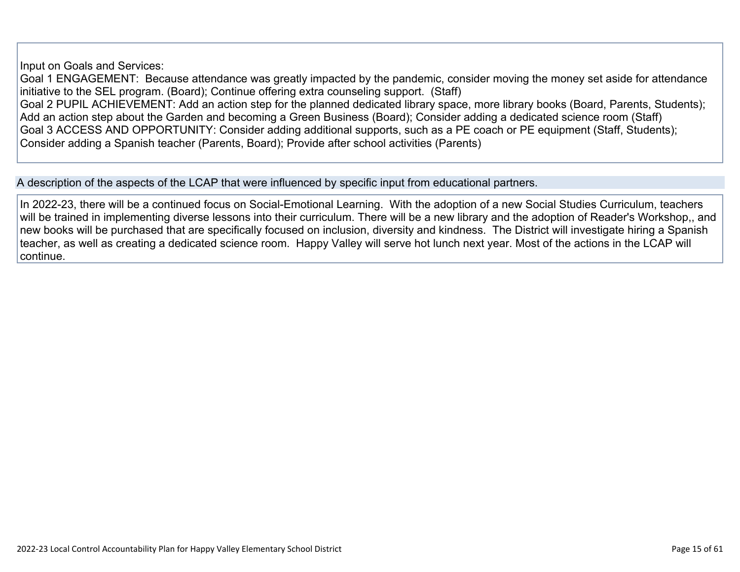Input on Goals and Services:

Goal 1 ENGAGEMENT: Because attendance was greatly impacted by the pandemic, consider moving the money set aside for attendance initiative to the SEL program. (Board); Continue offering extra counseling support. (Staff) Goal 2 PUPIL ACHIEVEMENT: Add an action step for the planned dedicated library space, more library books (Board, Parents, Students); Add an action step about the Garden and becoming a Green Business (Board); Consider adding a dedicated science room (Staff) Goal 3 ACCESS AND OPPORTUNITY: Consider adding additional supports, such as a PE coach or PE equipment (Staff, Students); Consider adding a Spanish teacher (Parents, Board); Provide after school activities (Parents)

A description of the aspects of the LCAP that were influenced by specific input from educational partners.

In 2022-23, there will be a continued focus on Social-Emotional Learning. With the adoption of a new Social Studies Curriculum, teachers will be trained in implementing diverse lessons into their curriculum. There will be a new library and the adoption of Reader's Workshop,, and new books will be purchased that are specifically focused on inclusion, diversity and kindness. The District will investigate hiring a Spanish teacher, as well as creating a dedicated science room. Happy Valley will serve hot lunch next year. Most of the actions in the LCAP will continue.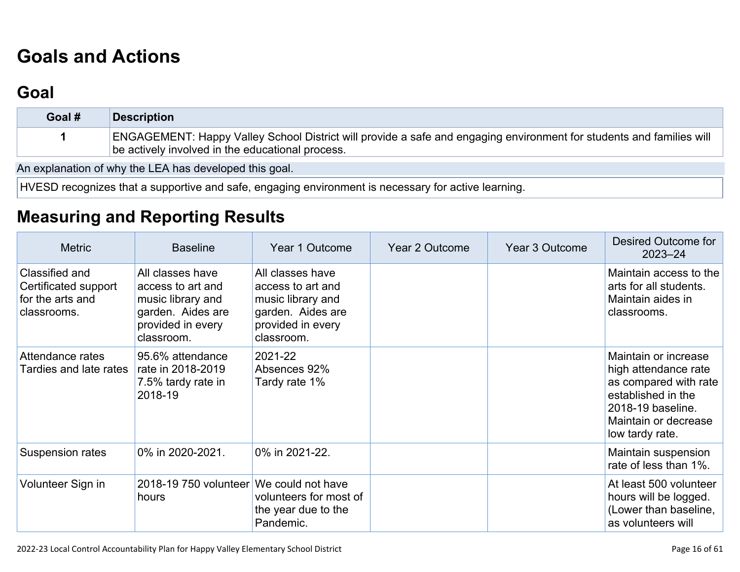# **[Goals and Actions](http://www.doc-tracking.com/screenshots/22LCAP/Instructions/22LCAPInstructions.htm#GoalsandActions)**

# **[Goal](http://www.doc-tracking.com/screenshots/22LCAP/Instructions/22LCAPInstructions.htm#goalDescription)**

| Goal # | <b>Description</b>                                                                                                                                                       |
|--------|--------------------------------------------------------------------------------------------------------------------------------------------------------------------------|
|        | ENGAGEMENT: Happy Valley School District will provide a safe and engaging environment for students and families will<br>be actively involved in the educational process. |

An explanation of why the LEA has developed this goal.

HVESD recognizes that a supportive and safe, engaging environment is necessary for active learning.

## **[Measuring and Reporting Results](http://www.doc-tracking.com/screenshots/22LCAP/Instructions/22LCAPInstructions.htm#MeasuringandReportingResults)**

| <b>Metric</b>                                                             | <b>Baseline</b>                                                                                                    | Year 1 Outcome                                                                                                     | Year 2 Outcome | Year 3 Outcome | Desired Outcome for<br>$2023 - 24$                                                                                                                          |
|---------------------------------------------------------------------------|--------------------------------------------------------------------------------------------------------------------|--------------------------------------------------------------------------------------------------------------------|----------------|----------------|-------------------------------------------------------------------------------------------------------------------------------------------------------------|
| Classified and<br>Certificated support<br>for the arts and<br>classrooms. | All classes have<br>access to art and<br>music library and<br>garden. Aides are<br>provided in every<br>classroom. | All classes have<br>access to art and<br>music library and<br>garden. Aides are<br>provided in every<br>classroom. |                |                | Maintain access to the<br>arts for all students.<br>Maintain aides in<br>classrooms.                                                                        |
| Attendance rates<br>Tardies and late rates                                | 95.6% attendance<br>rate in 2018-2019<br>7.5% tardy rate in<br>2018-19                                             | 2021-22<br>Absences 92%<br>Tardy rate 1%                                                                           |                |                | Maintain or increase<br>high attendance rate<br>as compared with rate<br>established in the<br>2018-19 baseline.<br>Maintain or decrease<br>low tardy rate. |
| Suspension rates                                                          | 0% in 2020-2021.                                                                                                   | 0% in 2021-22.                                                                                                     |                |                | Maintain suspension<br>rate of less than 1%.                                                                                                                |
| Volunteer Sign in                                                         | 2018-19 750 volunteer We could not have<br>hours                                                                   | volunteers for most of<br>the year due to the<br>Pandemic.                                                         |                |                | At least 500 volunteer<br>hours will be logged.<br>(Lower than baseline,<br>as volunteers will                                                              |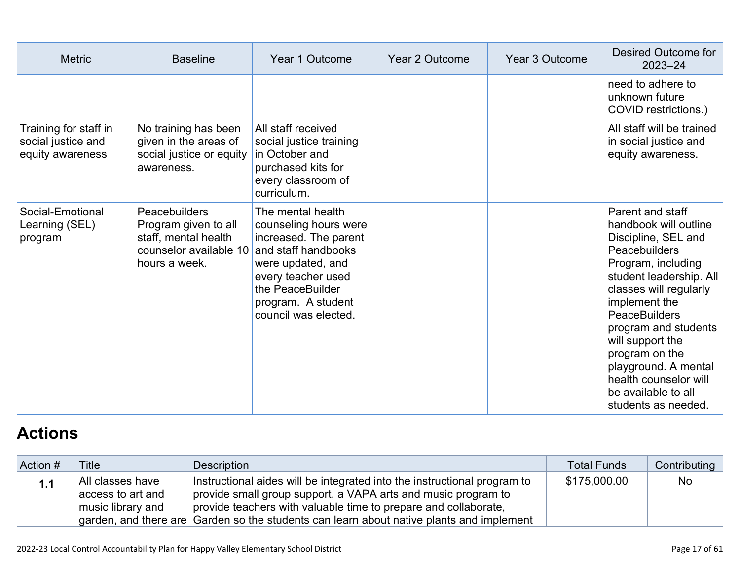| <b>Metric</b>                                                   | <b>Baseline</b>                                                                                          | Year 1 Outcome                                                                                                                                                                                          | Year 2 Outcome | Year 3 Outcome | Desired Outcome for<br>$2023 - 24$                                                                                                                                                                                                                                                                                                                                 |
|-----------------------------------------------------------------|----------------------------------------------------------------------------------------------------------|---------------------------------------------------------------------------------------------------------------------------------------------------------------------------------------------------------|----------------|----------------|--------------------------------------------------------------------------------------------------------------------------------------------------------------------------------------------------------------------------------------------------------------------------------------------------------------------------------------------------------------------|
|                                                                 |                                                                                                          |                                                                                                                                                                                                         |                |                | need to adhere to<br>unknown future<br>COVID restrictions.)                                                                                                                                                                                                                                                                                                        |
| Training for staff in<br>social justice and<br>equity awareness | No training has been<br>given in the areas of<br>social justice or equity<br>awareness.                  | All staff received<br>social justice training<br>in October and<br>purchased kits for<br>every classroom of<br>curriculum.                                                                              |                |                | All staff will be trained<br>in social justice and<br>equity awareness.                                                                                                                                                                                                                                                                                            |
| Social-Emotional<br>Learning (SEL)<br>program                   | Peacebuilders<br>Program given to all<br>staff, mental health<br>counselor available 10<br>hours a week. | The mental health<br>counseling hours were<br>increased. The parent<br>and staff handbooks<br>were updated, and<br>every teacher used<br>the PeaceBuilder<br>program. A student<br>council was elected. |                |                | Parent and staff<br>handbook will outline<br>Discipline, SEL and<br>Peacebuilders<br>Program, including<br>student leadership. All<br>classes will regularly<br>implement the<br><b>PeaceBuilders</b><br>program and students<br>will support the<br>program on the<br>playground. A mental<br>health counselor will<br>be available to all<br>students as needed. |

# **[Actions](http://www.doc-tracking.com/screenshots/22LCAP/Instructions/22LCAPInstructions.htm#actions)**

| Action # | <b>Title</b>                                               | Description                                                                                                                                                                                                                                                                                              | Total Funds  | Contributing |
|----------|------------------------------------------------------------|----------------------------------------------------------------------------------------------------------------------------------------------------------------------------------------------------------------------------------------------------------------------------------------------------------|--------------|--------------|
| 1.1      | All classes have<br>access to art and<br>music library and | Instructional aides will be integrated into the instructional program to<br>provide small group support, a VAPA arts and music program to<br>provide teachers with valuable time to prepare and collaborate,<br>garden, and there are Garden so the students can learn about native plants and implement | \$175,000.00 | <b>No</b>    |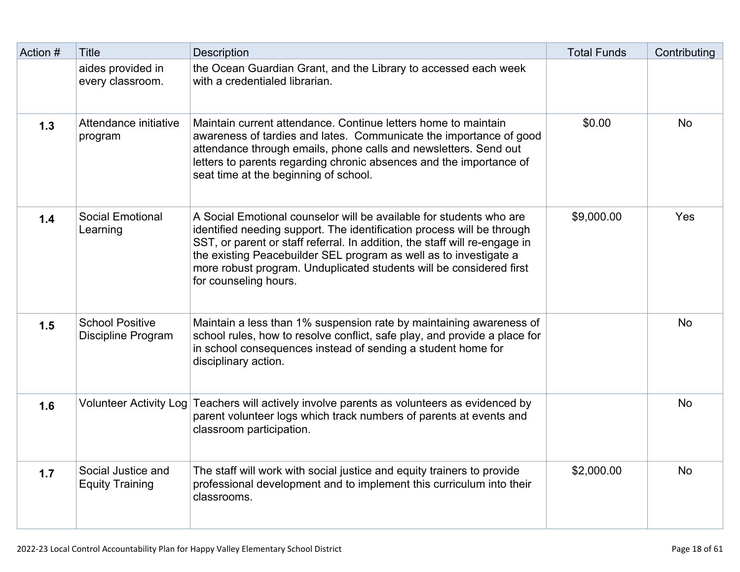| Action # | <b>Title</b>                                 | <b>Description</b>                                                                                                                                                                                                                                                                                                                                                                               | <b>Total Funds</b> | Contributing |
|----------|----------------------------------------------|--------------------------------------------------------------------------------------------------------------------------------------------------------------------------------------------------------------------------------------------------------------------------------------------------------------------------------------------------------------------------------------------------|--------------------|--------------|
|          | aides provided in<br>every classroom.        | the Ocean Guardian Grant, and the Library to accessed each week<br>with a credentialed librarian.                                                                                                                                                                                                                                                                                                |                    |              |
| 1.3      | Attendance initiative<br>program             | Maintain current attendance. Continue letters home to maintain<br>awareness of tardies and lates. Communicate the importance of good<br>attendance through emails, phone calls and newsletters. Send out<br>letters to parents regarding chronic absences and the importance of<br>seat time at the beginning of school.                                                                         | \$0.00             | <b>No</b>    |
| $1.4$    | <b>Social Emotional</b><br>Learning          | A Social Emotional counselor will be available for students who are<br>identified needing support. The identification process will be through<br>SST, or parent or staff referral. In addition, the staff will re-engage in<br>the existing Peacebuilder SEL program as well as to investigate a<br>more robust program. Unduplicated students will be considered first<br>for counseling hours. | \$9,000.00         | Yes          |
| 1.5      | <b>School Positive</b><br>Discipline Program | Maintain a less than 1% suspension rate by maintaining awareness of<br>school rules, how to resolve conflict, safe play, and provide a place for<br>in school consequences instead of sending a student home for<br>disciplinary action.                                                                                                                                                         |                    | <b>No</b>    |
| 1.6      | <b>Volunteer Activity Log</b>                | Teachers will actively involve parents as volunteers as evidenced by<br>parent volunteer logs which track numbers of parents at events and<br>classroom participation.                                                                                                                                                                                                                           |                    | <b>No</b>    |
| 1.7      | Social Justice and<br><b>Equity Training</b> | The staff will work with social justice and equity trainers to provide<br>professional development and to implement this curriculum into their<br>classrooms.                                                                                                                                                                                                                                    | \$2,000.00         | <b>No</b>    |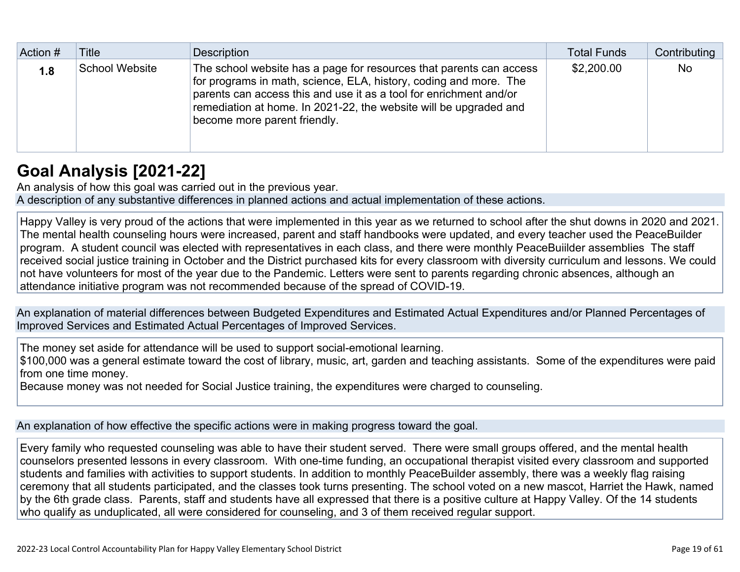| Action # | Title          | Description                                                                                                                                                                                                                                                                                                         | <b>Total Funds</b> | Contributing |
|----------|----------------|---------------------------------------------------------------------------------------------------------------------------------------------------------------------------------------------------------------------------------------------------------------------------------------------------------------------|--------------------|--------------|
| 1.8      | School Website | The school website has a page for resources that parents can access<br>for programs in math, science, ELA, history, coding and more. The<br>parents can access this and use it as a tool for enrichment and/or<br>remediation at home. In 2021-22, the website will be upgraded and<br>become more parent friendly. | \$2,200.00         | <b>No</b>    |

# **[Goal Analysis \[2021-22\]](http://www.doc-tracking.com/screenshots/22LCAP/Instructions/22LCAPInstructions.htm#GoalAnalysis)**

An analysis of how this goal was carried out in the previous year.

A description of any substantive differences in planned actions and actual implementation of these actions.

Happy Valley is very proud of the actions that were implemented in this year as we returned to school after the shut downs in 2020 and 2021. The mental health counseling hours were increased, parent and staff handbooks were updated, and every teacher used the PeaceBuilder program. A student council was elected with representatives in each class, and there were monthly PeaceBuiilder assemblies The staff received social justice training in October and the District purchased kits for every classroom with diversity curriculum and lessons. We could not have volunteers for most of the year due to the Pandemic. Letters were sent to parents regarding chronic absences, although an attendance initiative program was not recommended because of the spread of COVID-19.

An explanation of material differences between Budgeted Expenditures and Estimated Actual Expenditures and/or Planned Percentages of Improved Services and Estimated Actual Percentages of Improved Services.

The money set aside for attendance will be used to support social-emotional learning.

\$100,000 was a general estimate toward the cost of library, music, art, garden and teaching assistants. Some of the expenditures were paid from one time money.

Because money was not needed for Social Justice training, the expenditures were charged to counseling.

An explanation of how effective the specific actions were in making progress toward the goal.

Every family who requested counseling was able to have their student served. There were small groups offered, and the mental health counselors presented lessons in every classroom. With one-time funding, an occupational therapist visited every classroom and supported students and families with activities to support students. In addition to monthly PeaceBuilder assembly, there was a weekly flag raising ceremony that all students participated, and the classes took turns presenting. The school voted on a new mascot, Harriet the Hawk, named by the 6th grade class. Parents, staff and students have all expressed that there is a positive culture at Happy Valley. Of the 14 students who qualify as unduplicated, all were considered for counseling, and 3 of them received regular support.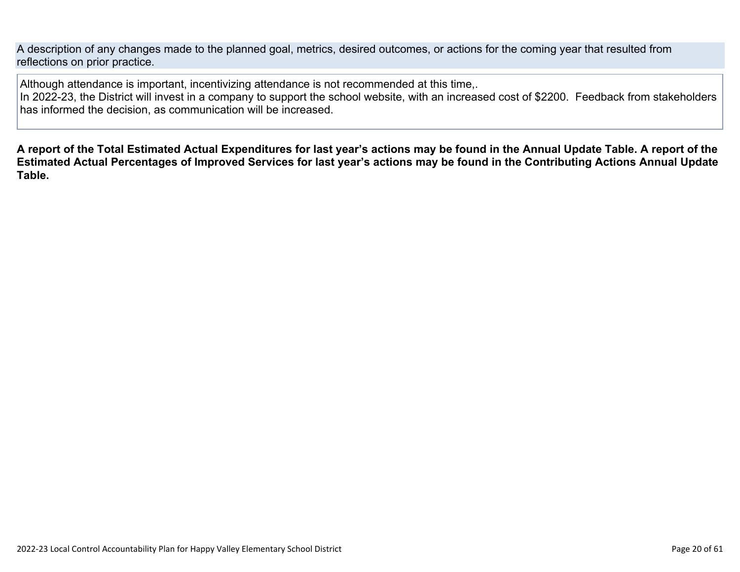A description of any changes made to the planned goal, metrics, desired outcomes, or actions for the coming year that resulted from reflections on prior practice.

Although attendance is important, incentivizing attendance is not recommended at this time,.

In 2022-23, the District will invest in a company to support the school website, with an increased cost of \$2200. Feedback from stakeholders has informed the decision, as communication will be increased.

**A report of the Total Estimated Actual Expenditures for last year's actions may be found in the Annual Update Table. A report of the Estimated Actual Percentages of Improved Services for last year's actions may be found in the Contributing Actions Annual Update Table.**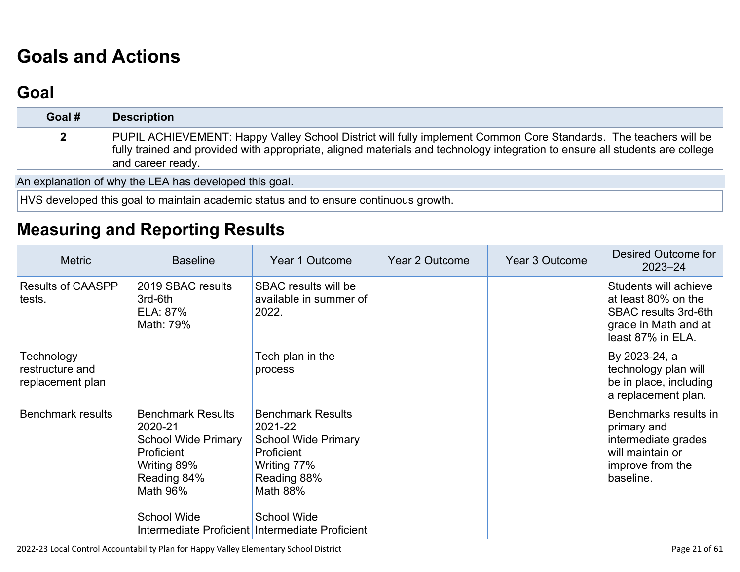# **[Goals and Actions](http://www.doc-tracking.com/screenshots/22LCAP/Instructions/22LCAPInstructions.htm#GoalsandActions)**

# **[Goal](http://www.doc-tracking.com/screenshots/22LCAP/Instructions/22LCAPInstructions.htm#goalDescription)**

| Goal # | Description                                                                                                                                                                                                                                                           |
|--------|-----------------------------------------------------------------------------------------------------------------------------------------------------------------------------------------------------------------------------------------------------------------------|
|        | PUPIL ACHIEVEMENT: Happy Valley School District will fully implement Common Core Standards. The teachers will be<br>fully trained and provided with appropriate, aligned materials and technology integration to ensure all students are college<br>and career ready. |

An explanation of why the LEA has developed this goal.

HVS developed this goal to maintain academic status and to ensure continuous growth.

## **[Measuring and Reporting Results](http://www.doc-tracking.com/screenshots/22LCAP/Instructions/22LCAPInstructions.htm#MeasuringandReportingResults)**

| <b>Metric</b>                                     | <b>Baseline</b>                                                                                                                                 | Year 1 Outcome                                                                                                                                                                                                   | Year 2 Outcome | Year 3 Outcome | Desired Outcome for<br>$2023 - 24$                                                                                       |
|---------------------------------------------------|-------------------------------------------------------------------------------------------------------------------------------------------------|------------------------------------------------------------------------------------------------------------------------------------------------------------------------------------------------------------------|----------------|----------------|--------------------------------------------------------------------------------------------------------------------------|
| <b>Results of CAASPP</b><br>tests.                | 2019 SBAC results<br>3rd-6th<br>ELA: 87%<br>Math: 79%                                                                                           | SBAC results will be<br>available in summer of<br>2022.                                                                                                                                                          |                |                | Students will achieve<br>at least 80% on the<br><b>SBAC results 3rd-6th</b><br>grade in Math and at<br>least 87% in ELA. |
| Technology<br>restructure and<br>replacement plan |                                                                                                                                                 | Tech plan in the<br>process                                                                                                                                                                                      |                |                | By 2023-24, a<br>technology plan will<br>be in place, including<br>a replacement plan.                                   |
| <b>Benchmark results</b>                          | <b>Benchmark Results</b><br>2020-21<br><b>School Wide Primary</b><br>Proficient<br>Writing 89%<br>Reading 84%<br>Math 96%<br><b>School Wide</b> | <b>Benchmark Results</b><br>2021-22<br><b>School Wide Primary</b><br><b>Proficient</b><br>Writing 77%<br>Reading 88%<br><b>Math 88%</b><br><b>School Wide</b><br>Intermediate Proficient Intermediate Proficient |                |                | Benchmarks results in<br>primary and<br>intermediate grades<br>will maintain or<br>improve from the<br>baseline.         |

2022-23 Local Control Accountability Plan for Happy Valley Elementary School District Page 21 of 61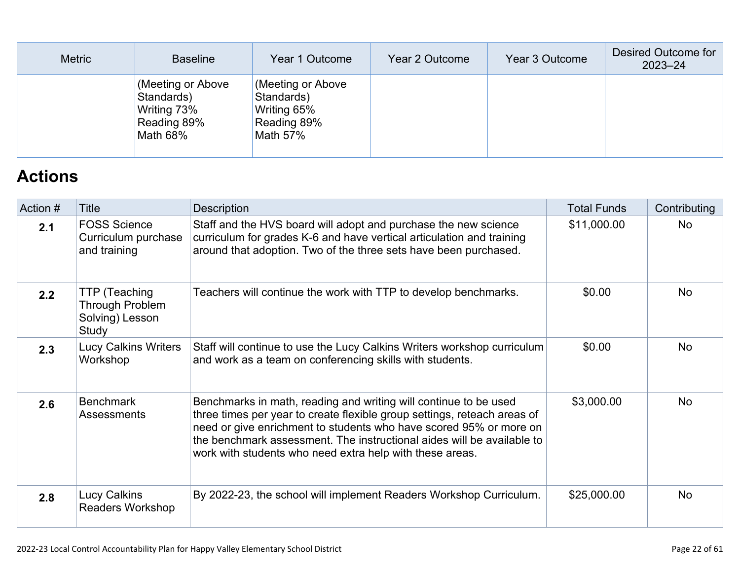| <b>Metric</b> | <b>Baseline</b>                                                           | Year 1 Outcome                                                            | Year 2 Outcome | Year 3 Outcome | Desired Outcome for<br>$2023 - 24$ |
|---------------|---------------------------------------------------------------------------|---------------------------------------------------------------------------|----------------|----------------|------------------------------------|
|               | (Meeting or Above<br>Standards)<br>Writing 73%<br>Reading 89%<br>Math 68% | (Meeting or Above<br>Standards)<br>Writing 65%<br>Reading 89%<br>Math 57% |                |                |                                    |

# **[Actions](http://www.doc-tracking.com/screenshots/22LCAP/Instructions/22LCAPInstructions.htm#actions)**

| Action # | Title                                                        | Description                                                                                                                                                                                                                                                                                                                                              | <b>Total Funds</b> | Contributing |
|----------|--------------------------------------------------------------|----------------------------------------------------------------------------------------------------------------------------------------------------------------------------------------------------------------------------------------------------------------------------------------------------------------------------------------------------------|--------------------|--------------|
| 2.1      | <b>FOSS Science</b><br>Curriculum purchase<br>and training   | Staff and the HVS board will adopt and purchase the new science<br>curriculum for grades K-6 and have vertical articulation and training<br>around that adoption. Two of the three sets have been purchased.                                                                                                                                             | \$11,000.00        | No           |
| 2.2      | TTP (Teaching<br>Through Problem<br>Solving) Lesson<br>Study | Teachers will continue the work with TTP to develop benchmarks.                                                                                                                                                                                                                                                                                          | \$0.00             | <b>No</b>    |
| 2.3      | <b>Lucy Calkins Writers</b><br>Workshop                      | Staff will continue to use the Lucy Calkins Writers workshop curriculum<br>and work as a team on conferencing skills with students.                                                                                                                                                                                                                      | \$0.00             | <b>No</b>    |
| 2.6      | <b>Benchmark</b><br>Assessments                              | Benchmarks in math, reading and writing will continue to be used<br>three times per year to create flexible group settings, reteach areas of<br>need or give enrichment to students who have scored 95% or more on<br>the benchmark assessment. The instructional aides will be available to<br>work with students who need extra help with these areas. | \$3,000.00         | <b>No</b>    |
| 2.8      | Lucy Calkins<br><b>Readers Workshop</b>                      | By 2022-23, the school will implement Readers Workshop Curriculum.                                                                                                                                                                                                                                                                                       | \$25,000.00        | <b>No</b>    |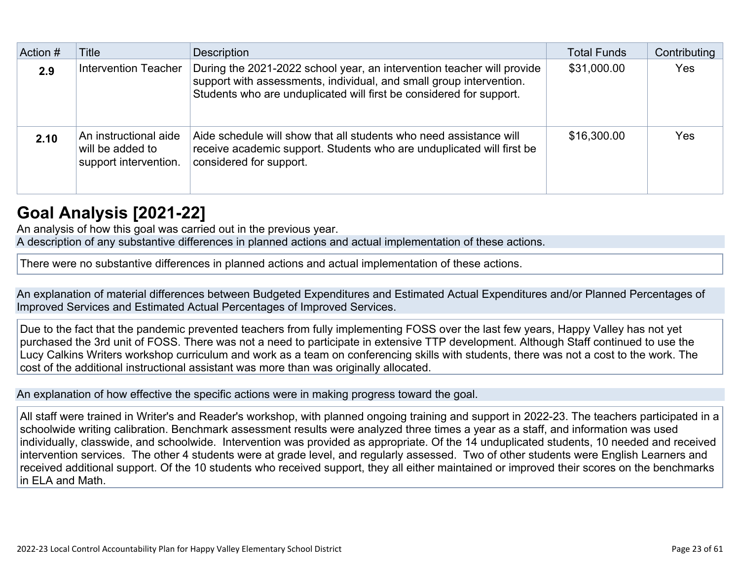| Action # | Title                                                              | <b>Description</b>                                                                                                                                                                                                   | <b>Total Funds</b> | Contributing |
|----------|--------------------------------------------------------------------|----------------------------------------------------------------------------------------------------------------------------------------------------------------------------------------------------------------------|--------------------|--------------|
| 2.9      | Intervention Teacher                                               | During the 2021-2022 school year, an intervention teacher will provide<br>support with assessments, individual, and small group intervention.<br>Students who are unduplicated will first be considered for support. | \$31,000.00        | Yes          |
| 2.10     | An instructional aide<br>will be added to<br>support intervention. | Aide schedule will show that all students who need assistance will<br>receive academic support. Students who are unduplicated will first be<br>considered for support.                                               | \$16,300.00        | <b>Yes</b>   |

## **[Goal Analysis \[2021-22\]](http://www.doc-tracking.com/screenshots/22LCAP/Instructions/22LCAPInstructions.htm#GoalAnalysis)**

An analysis of how this goal was carried out in the previous year.

A description of any substantive differences in planned actions and actual implementation of these actions.

There were no substantive differences in planned actions and actual implementation of these actions.

An explanation of material differences between Budgeted Expenditures and Estimated Actual Expenditures and/or Planned Percentages of Improved Services and Estimated Actual Percentages of Improved Services.

Due to the fact that the pandemic prevented teachers from fully implementing FOSS over the last few years, Happy Valley has not yet purchased the 3rd unit of FOSS. There was not a need to participate in extensive TTP development. Although Staff continued to use the Lucy Calkins Writers workshop curriculum and work as a team on conferencing skills with students, there was not a cost to the work. The cost of the additional instructional assistant was more than was originally allocated.

An explanation of how effective the specific actions were in making progress toward the goal.

All staff were trained in Writer's and Reader's workshop, with planned ongoing training and support in 2022-23. The teachers participated in a schoolwide writing calibration. Benchmark assessment results were analyzed three times a year as a staff, and information was used individually, classwide, and schoolwide. Intervention was provided as appropriate. Of the 14 unduplicated students, 10 needed and received intervention services. The other 4 students were at grade level, and regularly assessed. Two of other students were English Learners and received additional support. Of the 10 students who received support, they all either maintained or improved their scores on the benchmarks in ELA and Math.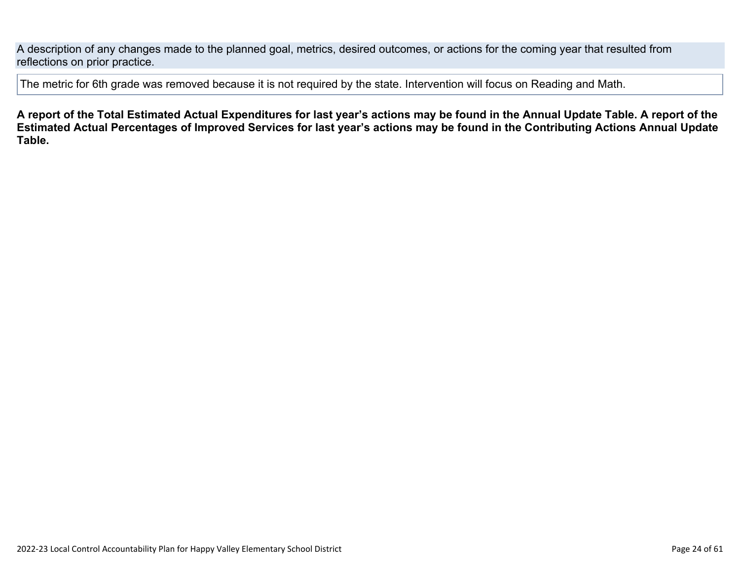A description of any changes made to the planned goal, metrics, desired outcomes, or actions for the coming year that resulted from reflections on prior practice.

The metric for 6th grade was removed because it is not required by the state. Intervention will focus on Reading and Math.

**A report of the Total Estimated Actual Expenditures for last year's actions may be found in the Annual Update Table. A report of the Estimated Actual Percentages of Improved Services for last year's actions may be found in the Contributing Actions Annual Update Table.**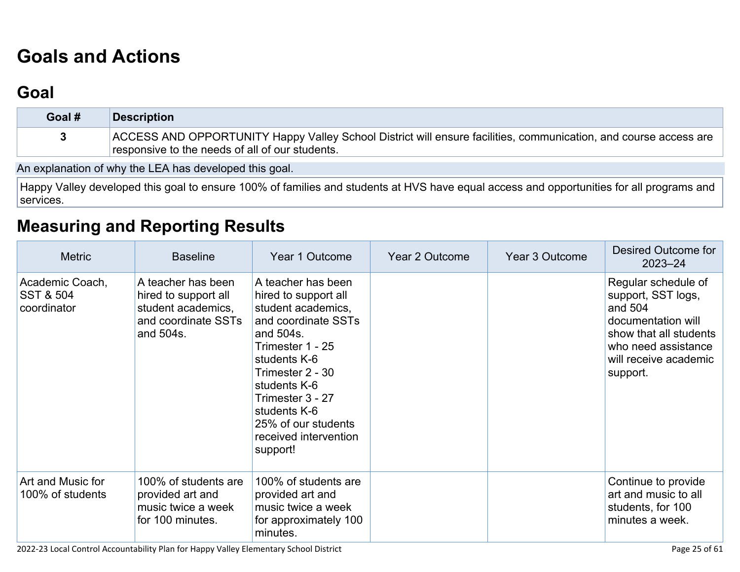# **[Goals and Actions](http://www.doc-tracking.com/screenshots/22LCAP/Instructions/22LCAPInstructions.htm#GoalsandActions)**

## **[Goal](http://www.doc-tracking.com/screenshots/22LCAP/Instructions/22LCAPInstructions.htm#goalDescription)**

| Goal # | <b>Description</b>                                                                                                                                                  |
|--------|---------------------------------------------------------------------------------------------------------------------------------------------------------------------|
|        | ACCESS AND OPPORTUNITY Happy Valley School District will ensure facilities, communication, and course access are<br>responsive to the needs of all of our students. |

An explanation of why the LEA has developed this goal.

Happy Valley developed this goal to ensure 100% of families and students at HVS have equal access and opportunities for all programs and services.

## **[Measuring and Reporting Results](http://www.doc-tracking.com/screenshots/22LCAP/Instructions/22LCAPInstructions.htm#MeasuringandReportingResults)**

| <b>Metric</b>                                          | <b>Baseline</b>                                                                                      | Year 1 Outcome                                                                                                                                                                                                                                                               | Year 2 Outcome | Year 3 Outcome | Desired Outcome for<br>$2023 - 24$                                                                                                                               |
|--------------------------------------------------------|------------------------------------------------------------------------------------------------------|------------------------------------------------------------------------------------------------------------------------------------------------------------------------------------------------------------------------------------------------------------------------------|----------------|----------------|------------------------------------------------------------------------------------------------------------------------------------------------------------------|
| Academic Coach,<br><b>SST &amp; 504</b><br>coordinator | A teacher has been<br>hired to support all<br>student academics,<br>and coordinate SSTs<br>and 504s. | A teacher has been<br>hired to support all<br>student academics,<br>and coordinate SSTs<br>and 504s.<br>Trimester 1 - 25<br>students K-6<br>Trimester 2 - 30<br>students K-6<br>Trimester 3 - 27<br>students K-6<br>25% of our students<br>received intervention<br>support! |                |                | Regular schedule of<br>support, SST logs,<br>and 504<br>documentation will<br>show that all students<br>who need assistance<br>will receive academic<br>support. |
| Art and Music for<br>100% of students                  | 100% of students are<br>provided art and<br>music twice a week<br>for 100 minutes.                   | 100% of students are<br>provided art and<br>music twice a week<br>for approximately 100<br>minutes.                                                                                                                                                                          |                |                | Continue to provide<br>art and music to all<br>students, for 100<br>minutes a week.                                                                              |

2022-23 Local Control Accountability Plan for Happy Valley Elementary School District Page 25 of 61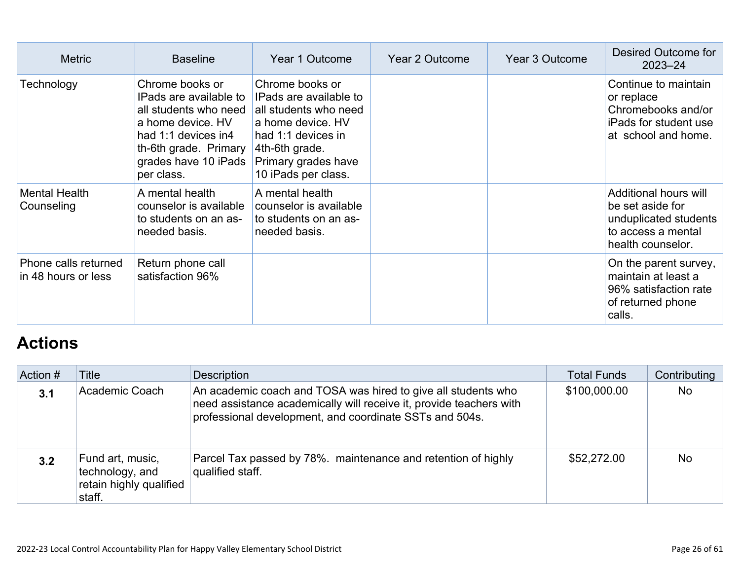| <b>Metric</b>                               | <b>Baseline</b>                                                                                                                                                               | Year 1 Outcome                                                                                                                                                                | Year 2 Outcome | Year 3 Outcome | Desired Outcome for<br>$2023 - 24$                                                                            |
|---------------------------------------------|-------------------------------------------------------------------------------------------------------------------------------------------------------------------------------|-------------------------------------------------------------------------------------------------------------------------------------------------------------------------------|----------------|----------------|---------------------------------------------------------------------------------------------------------------|
| Technology                                  | Chrome books or<br>IPads are available to<br>all students who need<br>a home device. HV<br>had 1:1 devices in4<br>th-6th grade. Primary<br>grades have 10 iPads<br>per class. | Chrome books or<br>IPads are available to<br>all students who need<br>a home device. HV<br>had 1:1 devices in<br>4th-6th grade.<br>Primary grades have<br>10 iPads per class. |                |                | Continue to maintain<br>or replace<br>Chromebooks and/or<br>iPads for student use<br>at school and home.      |
| <b>Mental Health</b><br>Counseling          | A mental health<br>counselor is available<br>to students on an as-<br>needed basis.                                                                                           | A mental health<br>counselor is available<br>to students on an as-<br>needed basis.                                                                                           |                |                | Additional hours will<br>be set aside for<br>unduplicated students<br>to access a mental<br>health counselor. |
| Phone calls returned<br>in 48 hours or less | Return phone call<br>satisfaction 96%                                                                                                                                         |                                                                                                                                                                               |                |                | On the parent survey,<br>maintain at least a<br>96% satisfaction rate<br>of returned phone<br>calls.          |

# **[Actions](http://www.doc-tracking.com/screenshots/22LCAP/Instructions/22LCAPInstructions.htm#actions)**

| Action # | Title                                                                    | Description                                                                                                                                                                                     | <b>Total Funds</b> | Contributing |
|----------|--------------------------------------------------------------------------|-------------------------------------------------------------------------------------------------------------------------------------------------------------------------------------------------|--------------------|--------------|
| 3.1      | Academic Coach                                                           | An academic coach and TOSA was hired to give all students who<br>need assistance academically will receive it, provide teachers with<br>professional development, and coordinate SSTs and 504s. | \$100,000.00       | <b>No</b>    |
| 3.2      | Fund art, music,<br>technology, and<br>retain highly qualified<br>staff. | Parcel Tax passed by 78%. maintenance and retention of highly<br>qualified staff.                                                                                                               | \$52,272.00        | <b>No</b>    |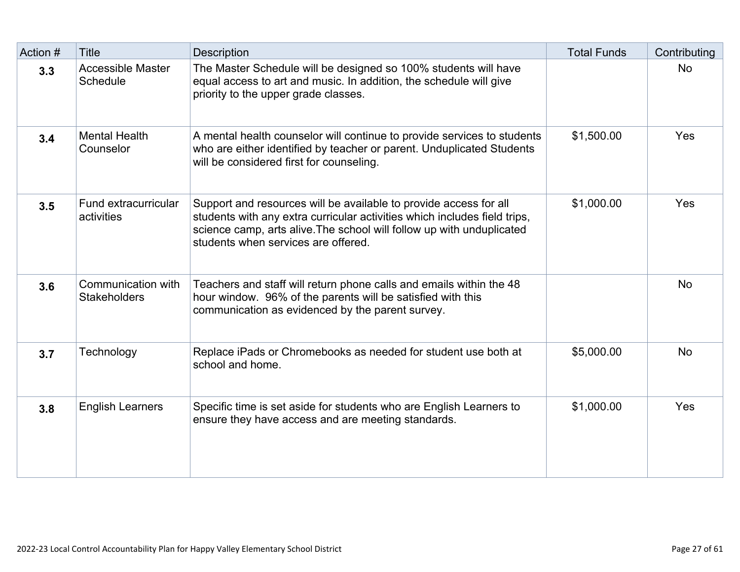| Action # | <b>Title</b>                              | <b>Description</b>                                                                                                                                                                                                                                             | <b>Total Funds</b> | Contributing |
|----------|-------------------------------------------|----------------------------------------------------------------------------------------------------------------------------------------------------------------------------------------------------------------------------------------------------------------|--------------------|--------------|
| 3.3      | <b>Accessible Master</b><br>Schedule      | The Master Schedule will be designed so 100% students will have<br>equal access to art and music. In addition, the schedule will give<br>priority to the upper grade classes.                                                                                  |                    | <b>No</b>    |
| 3.4      | <b>Mental Health</b><br>Counselor         | A mental health counselor will continue to provide services to students<br>who are either identified by teacher or parent. Unduplicated Students<br>will be considered first for counseling.                                                                   | \$1,500.00         | Yes          |
| 3.5      | Fund extracurricular<br>activities        | Support and resources will be available to provide access for all<br>students with any extra curricular activities which includes field trips,<br>science camp, arts alive. The school will follow up with unduplicated<br>students when services are offered. | \$1,000.00         | Yes          |
| 3.6      | Communication with<br><b>Stakeholders</b> | Teachers and staff will return phone calls and emails within the 48<br>hour window. 96% of the parents will be satisfied with this<br>communication as evidenced by the parent survey.                                                                         |                    | <b>No</b>    |
| 3.7      | Technology                                | Replace iPads or Chromebooks as needed for student use both at<br>school and home.                                                                                                                                                                             | \$5,000.00         | <b>No</b>    |
| 3.8      | <b>English Learners</b>                   | Specific time is set aside for students who are English Learners to<br>ensure they have access and are meeting standards.                                                                                                                                      | \$1,000.00         | Yes          |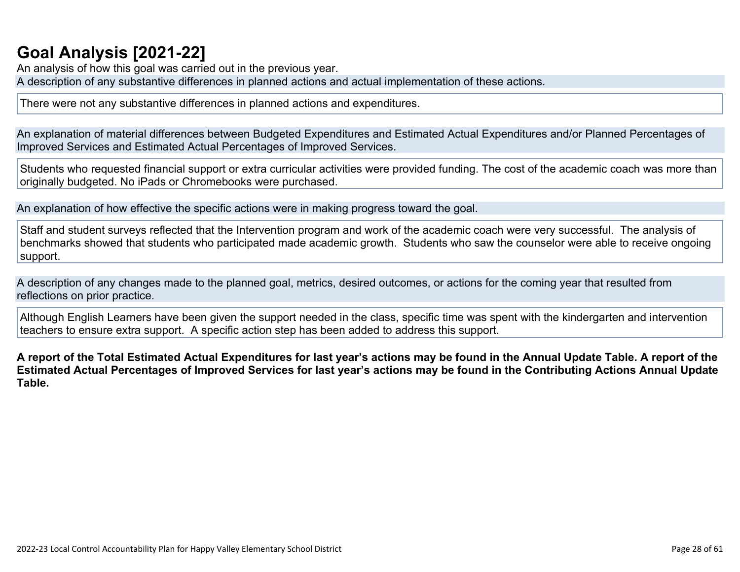# **[Goal Analysis \[2021-22\]](http://www.doc-tracking.com/screenshots/22LCAP/Instructions/22LCAPInstructions.htm#GoalAnalysis)**

An analysis of how this goal was carried out in the previous year. A description of any substantive differences in planned actions and actual implementation of these actions.

There were not any substantive differences in planned actions and expenditures.

An explanation of material differences between Budgeted Expenditures and Estimated Actual Expenditures and/or Planned Percentages of Improved Services and Estimated Actual Percentages of Improved Services.

Students who requested financial support or extra curricular activities were provided funding. The cost of the academic coach was more than originally budgeted. No iPads or Chromebooks were purchased.

An explanation of how effective the specific actions were in making progress toward the goal.

Staff and student surveys reflected that the Intervention program and work of the academic coach were very successful. The analysis of benchmarks showed that students who participated made academic growth. Students who saw the counselor were able to receive ongoing support.

A description of any changes made to the planned goal, metrics, desired outcomes, or actions for the coming year that resulted from reflections on prior practice.

Although English Learners have been given the support needed in the class, specific time was spent with the kindergarten and intervention teachers to ensure extra support. A specific action step has been added to address this support.

**A report of the Total Estimated Actual Expenditures for last year's actions may be found in the Annual Update Table. A report of the Estimated Actual Percentages of Improved Services for last year's actions may be found in the Contributing Actions Annual Update Table.**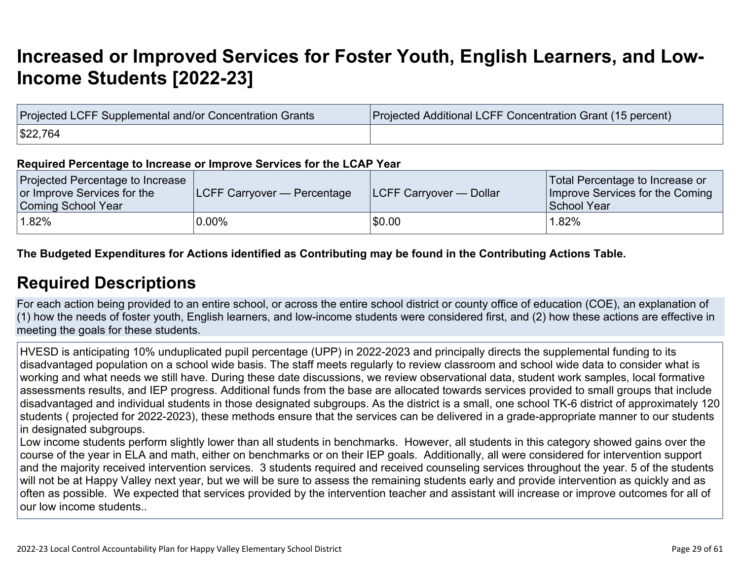# **[Increased or Improved Services for Foster Youth, English Learners, and Low-](http://www.doc-tracking.com/screenshots/22LCAP/Instructions/22LCAPInstructions.htm#IncreasedImprovedServices)[Income Students \[2022-23\]](http://www.doc-tracking.com/screenshots/22LCAP/Instructions/22LCAPInstructions.htm#IncreasedImprovedServices)**

| Projected LCFF Supplemental and/or Concentration Grants | Projected Additional LCFF Concentration Grant (15 percent) |
|---------------------------------------------------------|------------------------------------------------------------|
| \$22,764                                                |                                                            |

#### **Required Percentage to Increase or Improve Services for the LCAP Year**

| Projected Percentage to Increase<br>or Improve Services for the<br>Coming School Year | <b>LCFF Carryover — Percentage</b> | <b>ILCFF Carryover — Dollar</b> | Total Percentage to Increase or<br>Improve Services for the Coming<br>School Year |
|---------------------------------------------------------------------------------------|------------------------------------|---------------------------------|-----------------------------------------------------------------------------------|
| 1.82%                                                                                 | $0.00\%$                           | \$0.00                          | 1.82%                                                                             |

**The Budgeted Expenditures for Actions identified as Contributing may be found in the Contributing Actions Table.**

### **[Required Descriptions](http://www.doc-tracking.com/screenshots/22LCAP/Instructions/22LCAPInstructions.htm#RequiredDescriptions)**

For each action being provided to an entire school, or across the entire school district or county office of education (COE), an explanation of (1) how the needs of foster youth, English learners, and low-income students were considered first, and (2) how these actions are effective in meeting the goals for these students.

HVESD is anticipating 10% unduplicated pupil percentage (UPP) in 2022-2023 and principally directs the supplemental funding to its disadvantaged population on a school wide basis. The staff meets regularly to review classroom and school wide data to consider what is working and what needs we still have. During these date discussions, we review observational data, student work samples, local formative assessments results, and IEP progress. Additional funds from the base are allocated towards services provided to small groups that include disadvantaged and individual students in those designated subgroups. As the district is a small, one school TK-6 district of approximately 120 students ( projected for 2022-2023), these methods ensure that the services can be delivered in a grade-appropriate manner to our students in designated subgroups.

Low income students perform slightly lower than all students in benchmarks. However, all students in this category showed gains over the course of the year in ELA and math, either on benchmarks or on their IEP goals. Additionally, all were considered for intervention support and the majority received intervention services. 3 students required and received counseling services throughout the year. 5 of the students will not be at Happy Valley next year, but we will be sure to assess the remaining students early and provide intervention as quickly and as often as possible. We expected that services provided by the intervention teacher and assistant will increase or improve outcomes for all of our low income students..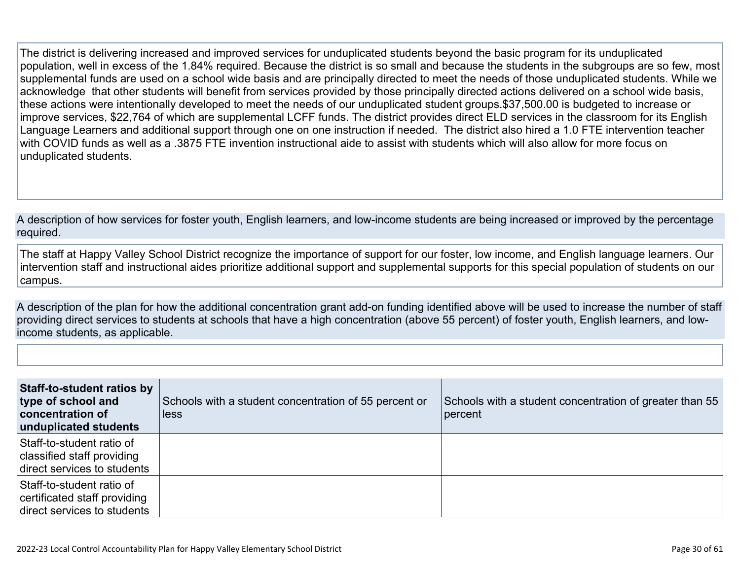The district is delivering increased and improved services for unduplicated students beyond the basic program for its unduplicated population, well in excess of the 1.84% required. Because the district is so small and because the students in the subgroups are so few, most supplemental funds are used on a school wide basis and are principally directed to meet the needs of those unduplicated students. While we acknowledge that other students will benefit from services provided by those principally directed actions delivered on a school wide basis, these actions were intentionally developed to meet the needs of our unduplicated student groups.\$37,500.00 is budgeted to increase or improve services, \$22,764 of which are supplemental LCFF funds. The district provides direct ELD services in the classroom for its English Language Learners and additional support through one on one instruction if needed. The district also hired a 1.0 FTE intervention teacher with COVID funds as well as a .3875 FTE invention instructional aide to assist with students which will also allow for more focus on unduplicated students.

A description of how services for foster youth, English learners, and low-income students are being increased or improved by the percentage required.

The staff at Happy Valley School District recognize the importance of support for our foster, low income, and English language learners. Our intervention staff and instructional aides prioritize additional support and supplemental supports for this special population of students on our campus.

A description of the plan for how the additional concentration grant add-on funding identified above will be used to increase the number of staff providing direct services to students at schools that have a high concentration (above 55 percent) of foster youth, English learners, and lowincome students, as applicable.

| Staff-to-student ratios by<br>type of school and<br>concentration of<br>unduplicated students | Schools with a student concentration of 55 percent or<br>less | Schools with a student concentration of greater than 55<br>percent |
|-----------------------------------------------------------------------------------------------|---------------------------------------------------------------|--------------------------------------------------------------------|
| Staff-to-student ratio of<br>classified staff providing<br>direct services to students        |                                                               |                                                                    |
| Staff-to-student ratio of<br>certificated staff providing<br>direct services to students      |                                                               |                                                                    |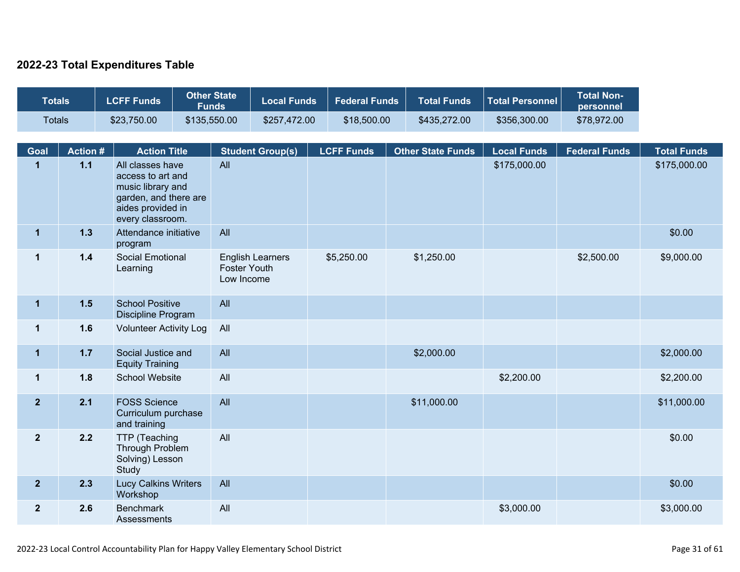### **2022-23 Total Expenditures Table**

| <b>Totals</b>  |                | <b>Other State</b><br><b>LCFF Funds</b><br><b>Local Funds</b><br><b>Federal Funds</b><br><b>Funds</b>                        |  | <b>Total Funds</b>                | <b>Total Personnel</b>  | <b>Total Non-</b><br>personnel |                          |                    |                      |                    |
|----------------|----------------|------------------------------------------------------------------------------------------------------------------------------|--|-----------------------------------|-------------------------|--------------------------------|--------------------------|--------------------|----------------------|--------------------|
| <b>Totals</b>  |                | \$23,750.00                                                                                                                  |  | \$135,550.00                      | \$257,472.00            | \$18,500.00                    | \$435,272.00             | \$356,300.00       | \$78,972.00          |                    |
| Goal           | <b>Action#</b> | <b>Action Title</b>                                                                                                          |  |                                   | <b>Student Group(s)</b> | <b>LCFF Funds</b>              | <b>Other State Funds</b> | <b>Local Funds</b> | <b>Federal Funds</b> | <b>Total Funds</b> |
| $\mathbf{1}$   | 1.1            | All classes have<br>access to art and<br>music library and<br>garden, and there are<br>aides provided in<br>every classroom. |  | All                               |                         |                                |                          | \$175,000.00       |                      | \$175,000.00       |
| $\overline{1}$ | $1.3$          | Attendance initiative<br>program                                                                                             |  | All                               |                         |                                |                          |                    |                      | \$0.00             |
| $\mathbf 1$    | $1.4$          | Social Emotional<br>Learning                                                                                                 |  | <b>Foster Youth</b><br>Low Income | <b>English Learners</b> | \$5,250.00                     | \$1,250.00               |                    | \$2,500.00           | \$9,000.00         |
| $\mathbf 1$    | 1.5            | <b>School Positive</b><br>Discipline Program                                                                                 |  | All                               |                         |                                |                          |                    |                      |                    |
| $\mathbf 1$    | 1.6            | <b>Volunteer Activity Log</b>                                                                                                |  | All                               |                         |                                |                          |                    |                      |                    |
| $\mathbf{1}$   | $1.7$          | Social Justice and<br><b>Equity Training</b>                                                                                 |  | All                               |                         |                                | \$2,000.00               |                    |                      | \$2,000.00         |
| $\mathbf 1$    | 1.8            | <b>School Website</b>                                                                                                        |  | All                               |                         |                                |                          | \$2,200.00         |                      | \$2,200.00         |
| $\overline{2}$ | 2.1            | <b>FOSS Science</b><br>Curriculum purchase<br>and training                                                                   |  | All                               |                         |                                | \$11,000.00              |                    |                      | \$11,000.00        |
| $\overline{2}$ | 2.2            | TTP (Teaching<br><b>Through Problem</b><br>Solving) Lesson<br>Study                                                          |  | All                               |                         |                                |                          |                    |                      | \$0.00             |
| 2 <sub>2</sub> | 2.3            | <b>Lucy Calkins Writers</b><br>Workshop                                                                                      |  | All                               |                         |                                |                          |                    |                      | \$0.00             |
| $\overline{2}$ | 2.6            | <b>Benchmark</b><br>Assessments                                                                                              |  | All                               |                         |                                |                          | \$3,000.00         |                      | \$3,000.00         |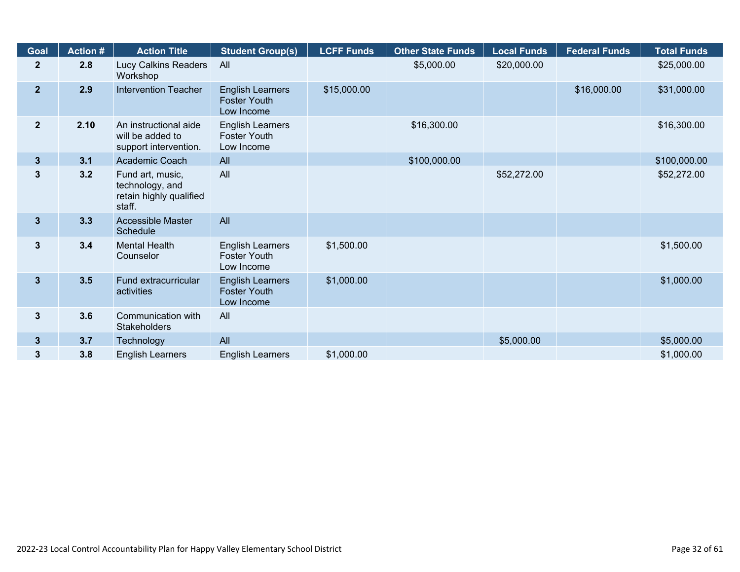| <b>Goal</b>             | <b>Action #</b>                                                            | <b>Action Title</b>                                                      | <b>Student Group(s)</b>                                      | <b>LCFF Funds</b> | <b>Other State Funds</b> | <b>Local Funds</b> | <b>Federal Funds</b> | <b>Total Funds</b> |
|-------------------------|----------------------------------------------------------------------------|--------------------------------------------------------------------------|--------------------------------------------------------------|-------------------|--------------------------|--------------------|----------------------|--------------------|
| $\mathbf{2}$            | 2.8                                                                        | Lucy Calkins Readers<br>Workshop                                         | All                                                          |                   | \$5,000.00               | \$20,000.00        |                      | \$25,000.00        |
| 2 <sup>1</sup>          | 2.9<br><b>Intervention Teacher</b>                                         |                                                                          | <b>English Learners</b><br><b>Foster Youth</b><br>Low Income | \$15,000.00       |                          |                    | \$16,000.00          | \$31,000.00        |
| 2 <sup>2</sup>          | 2.10<br>An instructional aide<br>will be added to<br>support intervention. |                                                                          | <b>English Learners</b><br><b>Foster Youth</b><br>Low Income |                   | \$16,300.00              |                    |                      | \$16,300.00        |
| $3\phantom{a}$          | 3.1                                                                        | Academic Coach                                                           | All                                                          |                   | \$100,000.00             |                    |                      | \$100,000.00       |
| 3                       | 3.2                                                                        | Fund art, music,<br>technology, and<br>retain highly qualified<br>staff. | All                                                          |                   |                          | \$52,272.00        |                      | \$52,272.00        |
| $\overline{\mathbf{3}}$ | 3.3                                                                        | Accessible Master<br>Schedule                                            | All                                                          |                   |                          |                    |                      |                    |
| $\mathbf{3}$            | 3.4                                                                        | <b>Mental Health</b><br>Counselor                                        | <b>English Learners</b><br><b>Foster Youth</b><br>Low Income | \$1,500.00        |                          |                    |                      | \$1,500.00         |
| $\overline{\mathbf{3}}$ | 3.5                                                                        | Fund extracurricular<br>activities                                       | <b>English Learners</b><br><b>Foster Youth</b><br>Low Income | \$1,000.00        |                          |                    |                      | \$1,000.00         |
| 3                       | 3.6<br>Communication with<br>All<br><b>Stakeholders</b>                    |                                                                          |                                                              |                   |                          |                    |                      |                    |
| 3 <sup>5</sup>          | 3.7                                                                        | Technology                                                               | All                                                          |                   |                          | \$5,000.00         |                      | \$5,000.00         |
| 3                       | 3.8                                                                        | <b>English Learners</b>                                                  | <b>English Learners</b>                                      | \$1,000.00        |                          |                    |                      | \$1,000.00         |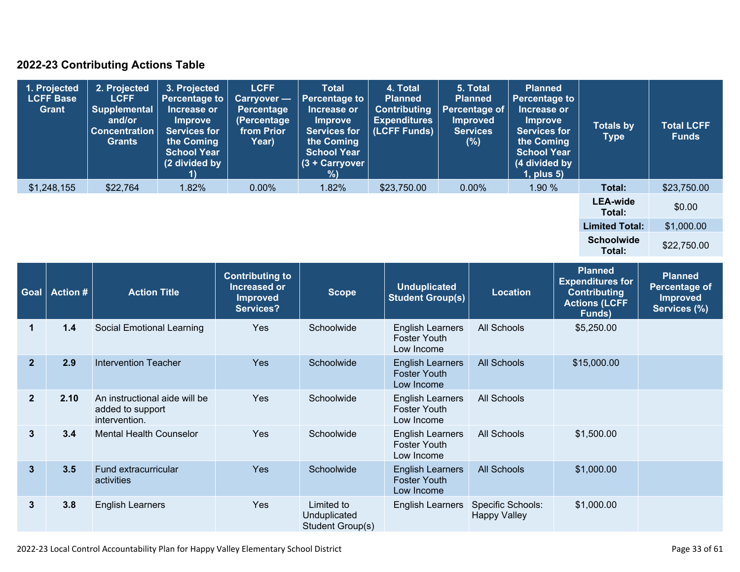### **2022-23 Contributing Actions Table**

| 1. Projected<br><b>LCFF Base</b><br>Grant | 2. Projected<br><b>LCFF</b><br>Supplemental<br>and/or<br><b>Concentration</b><br><b>Grants</b> | 3. Projected<br><b>Percentage to</b><br>Increase or<br><b>Improve</b><br><b>Services for</b><br>the Coming<br><b>School Year</b><br>(2 divided by | <b>LCFF</b><br><b>Carryover</b> —<br>Percentage<br>(Percentage<br>from Prior<br>Year) | <b>Total</b><br>Percentage to<br>Increase or<br><b>Improve</b><br><b>Services for</b><br>the Coming<br><b>School Year</b><br>$(3 +$ Carryover<br>%) | 4. Total<br><b>Planned</b><br><b>Contributing</b><br><b>Expenditures</b><br>(LCFF Funds) | 5. Total<br><b>Planned</b><br>Percentage of<br><b>Improved</b><br><b>Services</b><br>(%) | <b>Planned</b><br><b>Percentage to</b><br>Increase or<br><b>Improve</b><br><b>Services for</b><br>the Coming<br><b>School Year</b><br>(4 divided by<br>$1$ , plus $5$ ) | <b>Totals by</b><br><b>Type</b> | <b>Total LCFF</b><br><b>Funds</b> |
|-------------------------------------------|------------------------------------------------------------------------------------------------|---------------------------------------------------------------------------------------------------------------------------------------------------|---------------------------------------------------------------------------------------|-----------------------------------------------------------------------------------------------------------------------------------------------------|------------------------------------------------------------------------------------------|------------------------------------------------------------------------------------------|-------------------------------------------------------------------------------------------------------------------------------------------------------------------------|---------------------------------|-----------------------------------|
| \$1,248,155                               | \$22,764                                                                                       | 1.82%                                                                                                                                             | $0.00\%$                                                                              | 1.82%                                                                                                                                               | \$23,750.00                                                                              | $0.00\%$                                                                                 | 1.90%                                                                                                                                                                   | Total:                          | \$23,750.00                       |
|                                           |                                                                                                |                                                                                                                                                   |                                                                                       |                                                                                                                                                     |                                                                                          |                                                                                          |                                                                                                                                                                         | <b>LEA-wide</b><br>Total:       | \$0.00                            |
|                                           |                                                                                                |                                                                                                                                                   |                                                                                       |                                                                                                                                                     |                                                                                          |                                                                                          |                                                                                                                                                                         | <b>Limited Total:</b>           | \$1,000.00                        |
|                                           |                                                                                                |                                                                                                                                                   |                                                                                       |                                                                                                                                                     |                                                                                          |                                                                                          |                                                                                                                                                                         | <b>Schoolwide</b><br>Total:     | \$22,750.00                       |

| <b>Goal</b>    | <b>Action #</b> | <b>Action Title</b>                                                | <b>Contributing to</b><br>Increased or<br><b>Improved</b><br><b>Services?</b> | <b>Scope</b>                                   | <b>Unduplicated</b><br><b>Student Group(s)</b>               | <b>Location</b>                          | <b>Planned</b><br><b>Expenditures for</b><br><b>Contributing</b><br><b>Actions (LCFF</b><br>Funds) | <b>Planned</b><br>Percentage of<br><b>Improved</b><br>Services (%) |
|----------------|-----------------|--------------------------------------------------------------------|-------------------------------------------------------------------------------|------------------------------------------------|--------------------------------------------------------------|------------------------------------------|----------------------------------------------------------------------------------------------------|--------------------------------------------------------------------|
| 1              | 1.4             | Social Emotional Learning                                          | Yes                                                                           | Schoolwide                                     | <b>English Learners</b><br><b>Foster Youth</b><br>Low Income | All Schools                              | \$5,250.00                                                                                         |                                                                    |
| $\overline{2}$ | 2.9             | Intervention Teacher                                               | <b>Yes</b>                                                                    | Schoolwide                                     | <b>English Learners</b><br><b>Foster Youth</b><br>Low Income | <b>All Schools</b>                       | \$15,000.00                                                                                        |                                                                    |
| $\overline{2}$ | 2.10            | An instructional aide will be<br>added to support<br>intervention. | Yes                                                                           | Schoolwide                                     | <b>English Learners</b><br><b>Foster Youth</b><br>Low Income | All Schools                              |                                                                                                    |                                                                    |
| $\mathbf{3}$   | 3.4             | <b>Mental Health Counselor</b>                                     | Yes                                                                           | Schoolwide                                     | <b>English Learners</b><br><b>Foster Youth</b><br>Low Income | All Schools                              | \$1,500.00                                                                                         |                                                                    |
| $\mathbf{3}$   | 3.5             | Fund extracurricular<br>activities                                 | <b>Yes</b>                                                                    | Schoolwide                                     | <b>English Learners</b><br><b>Foster Youth</b><br>Low Income | All Schools                              | \$1,000.00                                                                                         |                                                                    |
| $\mathbf{3}$   | 3.8             | <b>English Learners</b>                                            | Yes                                                                           | Limited to<br>Unduplicated<br>Student Group(s) | <b>English Learners</b>                                      | Specific Schools:<br><b>Happy Valley</b> | \$1,000.00                                                                                         |                                                                    |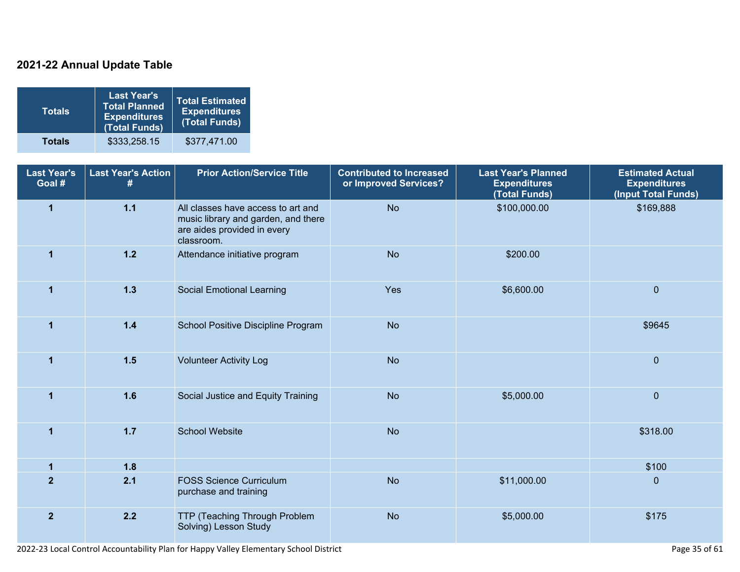### **2021-22 Annual Update Table**

| Totals        | <b>Last Year's</b><br><b>Total Planned</b><br><b>Expenditures</b><br>(Total Funds) | <b>Total Estimated</b><br><b>Expenditures</b><br>(Total Funds) |
|---------------|------------------------------------------------------------------------------------|----------------------------------------------------------------|
| <b>Totals</b> | \$333,258.15                                                                       | \$377,471.00                                                   |

| <b>Last Year's</b><br>Goal # | <b>Last Year's Action</b><br># | <b>Prior Action/Service Title</b>                                                                                      | <b>Contributed to Increased</b><br>or Improved Services? | <b>Last Year's Planned</b><br><b>Expenditures</b><br>(Total Funds) | <b>Estimated Actual</b><br><b>Expenditures</b><br>(Input Total Funds) |
|------------------------------|--------------------------------|------------------------------------------------------------------------------------------------------------------------|----------------------------------------------------------|--------------------------------------------------------------------|-----------------------------------------------------------------------|
| $\mathbf{1}$                 | $1.1$                          | All classes have access to art and<br>music library and garden, and there<br>are aides provided in every<br>classroom. | <b>No</b>                                                | \$100,000.00                                                       | \$169,888                                                             |
| $\mathbf 1$                  | $1.2$                          | Attendance initiative program                                                                                          | <b>No</b>                                                | \$200.00                                                           |                                                                       |
| $\overline{1}$               | $1.3$                          | <b>Social Emotional Learning</b>                                                                                       | Yes                                                      | \$6,600.00                                                         | $\mathbf 0$                                                           |
| $\mathbf{1}$                 | $1.4$                          | School Positive Discipline Program                                                                                     | <b>No</b>                                                |                                                                    | \$9645                                                                |
| $\blacktriangleleft$         | $1.5$                          | <b>Volunteer Activity Log</b>                                                                                          | <b>No</b>                                                |                                                                    | $\mathbf 0$                                                           |
| $\mathbf{1}$                 | 1.6                            | Social Justice and Equity Training                                                                                     | <b>No</b>                                                | \$5,000.00                                                         | $\mathbf 0$                                                           |
| $\mathbf{1}$                 | $1.7$                          | <b>School Website</b>                                                                                                  | <b>No</b>                                                |                                                                    | \$318.00                                                              |
| $\mathbf{1}$                 | 1.8                            |                                                                                                                        |                                                          |                                                                    | \$100                                                                 |
| $\overline{2}$               | 2.1                            | <b>FOSS Science Curriculum</b><br>purchase and training                                                                | <b>No</b>                                                | \$11,000.00                                                        | $\mathbf{0}$                                                          |
| $\overline{2}$               | 2.2                            | TTP (Teaching Through Problem<br>Solving) Lesson Study                                                                 | <b>No</b>                                                | \$5,000.00                                                         | \$175                                                                 |

2022-23 Local Control Accountability Plan for Happy Valley Elementary School District **Page 35** of 61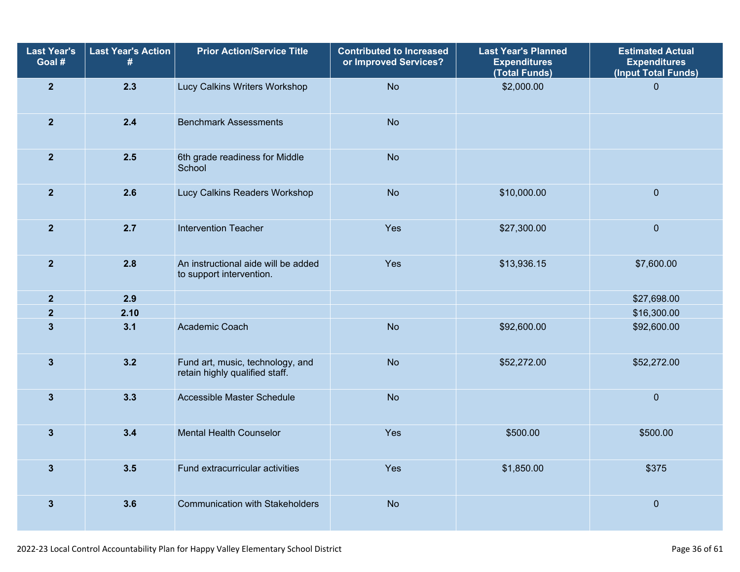| <b>Last Year's</b><br>Goal # | <b>Last Year's Action</b><br># | <b>Prior Action/Service Title</b>                                  | <b>Contributed to Increased</b><br>or Improved Services? | <b>Last Year's Planned</b><br><b>Expenditures</b><br>(Total Funds) | <b>Estimated Actual</b><br><b>Expenditures</b><br>(Input Total Funds) |
|------------------------------|--------------------------------|--------------------------------------------------------------------|----------------------------------------------------------|--------------------------------------------------------------------|-----------------------------------------------------------------------|
| $\overline{2}$               | 2.3                            | Lucy Calkins Writers Workshop                                      | <b>No</b>                                                | \$2,000.00                                                         | $\overline{0}$                                                        |
| $\mathbf{2}$                 | 2.4                            | <b>Benchmark Assessments</b>                                       | <b>No</b>                                                |                                                                    |                                                                       |
| $\mathbf{2}$                 | 2.5                            | 6th grade readiness for Middle<br>School                           | <b>No</b>                                                |                                                                    |                                                                       |
| $\overline{2}$               | 2.6                            | Lucy Calkins Readers Workshop                                      | <b>No</b>                                                | \$10,000.00                                                        | $\overline{0}$                                                        |
| $\overline{2}$               | 2.7                            | <b>Intervention Teacher</b>                                        | Yes                                                      | \$27,300.00                                                        | $\pmb{0}$                                                             |
| $\mathbf{2}$                 | 2.8                            | An instructional aide will be added<br>to support intervention.    | Yes                                                      | \$13,936.15                                                        | \$7,600.00                                                            |
| $\overline{2}$               | 2.9                            |                                                                    |                                                          |                                                                    | \$27,698.00                                                           |
| $\overline{\mathbf{2}}$      | 2.10                           |                                                                    |                                                          |                                                                    | \$16,300.00                                                           |
| $\mathbf{3}$                 | 3.1                            | Academic Coach                                                     | <b>No</b>                                                | \$92,600.00                                                        | \$92,600.00                                                           |
| $\mathbf{3}$                 | 3.2                            | Fund art, music, technology, and<br>retain highly qualified staff. | <b>No</b>                                                | \$52,272.00                                                        | \$52,272.00                                                           |
| $\overline{3}$               | 3.3                            | Accessible Master Schedule                                         | <b>No</b>                                                |                                                                    | $\overline{0}$                                                        |
| $\mathbf{3}$                 | 3.4                            | <b>Mental Health Counselor</b>                                     | Yes                                                      | \$500.00                                                           | \$500.00                                                              |
| $\mathbf{3}$                 | 3.5                            | Fund extracurricular activities                                    | Yes                                                      | \$1,850.00                                                         | \$375                                                                 |
| $\mathbf{3}$                 | 3.6                            | <b>Communication with Stakeholders</b>                             | <b>No</b>                                                |                                                                    | $\mathbf 0$                                                           |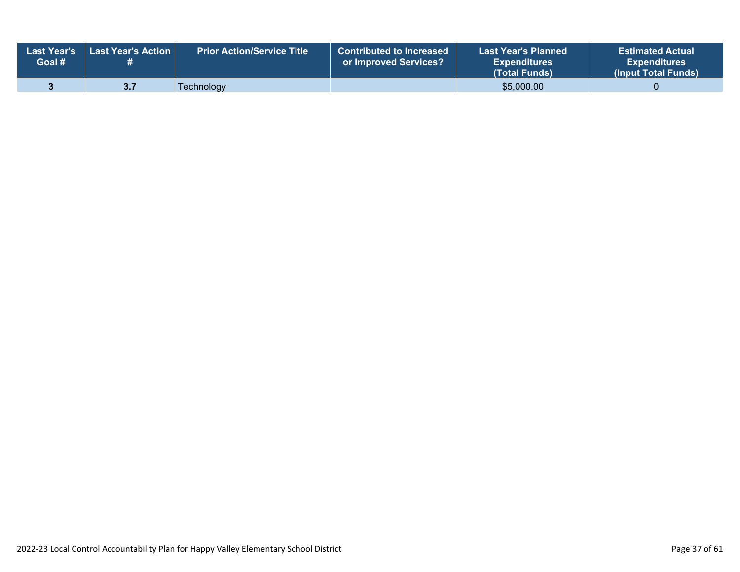| Goal # | ↓ Last Year's  Last Year's Action | Prior Action/Service Title ו | <b>Contributed to Increased</b><br>or Improved Services? | <b>Last Year's Planned</b><br><b>Expenditures</b><br><b>(Total Funds)</b> | <b>Estimated Actual</b><br><b>Expenditures</b><br>(Input Total Funds) |
|--------|-----------------------------------|------------------------------|----------------------------------------------------------|---------------------------------------------------------------------------|-----------------------------------------------------------------------|
|        |                                   | <b>Technology</b>            |                                                          | \$5,000.00                                                                |                                                                       |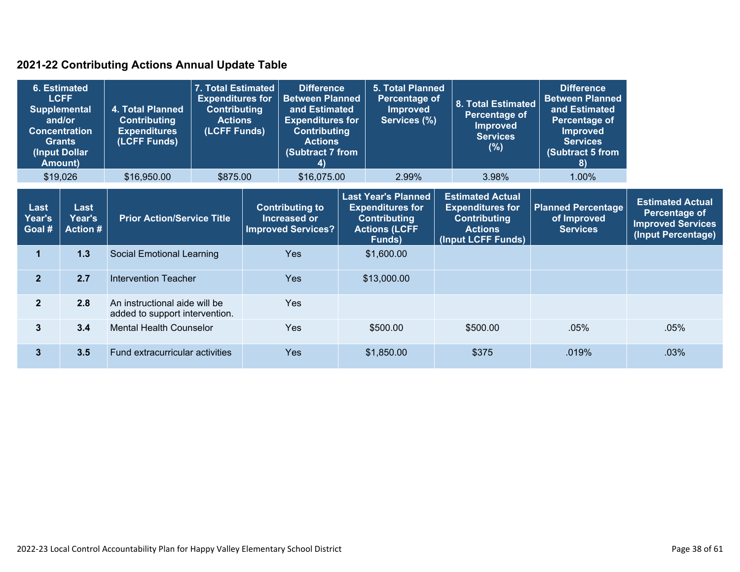### **2021-22 Contributing Actions Annual Update Table**

| 6. Estimated<br><b>LCFF</b><br><b>Supplemental</b><br>and/or<br><b>Concentration</b><br><b>Grants</b><br>(Input Dollar<br><b>Amount)</b><br>\$19,026 |                                   | 4. Total Planned<br><b>Contributing</b><br><b>Expenditures</b><br>(LCFF Funds)<br>\$16,950.00 | 7. Total Estimated<br><b>Expenditures for</b><br><b>Contributing</b><br><b>Actions</b><br>(LCFF Funds)<br>\$875.00 |            | <b>5. Total Planned</b><br><b>Difference</b><br><b>Between Planned</b><br>Percentage of<br>8. Total Estimated<br>and Estimated<br><b>Improved</b><br>Percentage of<br><b>Expenditures for</b><br>Services (%)<br><b>Improved</b><br><b>Contributing</b><br><b>Services</b><br><b>Actions</b><br>(%)<br>(Subtract 7 from<br>4)<br>\$16,075.00<br>3.98%<br>2.99% |             | <b>Difference</b><br><b>Between Planned</b><br>and Estimated<br>Percentage of<br><b>Improved</b><br><b>Services</b><br>(Subtract 5 from<br>8)<br>1.00% |                                                                                        |                                                             |                                                                 |
|------------------------------------------------------------------------------------------------------------------------------------------------------|-----------------------------------|-----------------------------------------------------------------------------------------------|--------------------------------------------------------------------------------------------------------------------|------------|----------------------------------------------------------------------------------------------------------------------------------------------------------------------------------------------------------------------------------------------------------------------------------------------------------------------------------------------------------------|-------------|--------------------------------------------------------------------------------------------------------------------------------------------------------|----------------------------------------------------------------------------------------|-------------------------------------------------------------|-----------------------------------------------------------------|
|                                                                                                                                                      |                                   |                                                                                               |                                                                                                                    |            |                                                                                                                                                                                                                                                                                                                                                                |             | <b>Last Year's Planned</b>                                                                                                                             | <b>Estimated Actual</b>                                                                |                                                             | <b>Estimated Actual</b>                                         |
| Last<br>Year's<br>Goal #                                                                                                                             | Last<br>Year's<br><b>Action #</b> | <b>Prior Action/Service Title</b>                                                             |                                                                                                                    |            | <b>Contributing to</b><br><b>Increased or</b><br><b>Improved Services?</b>                                                                                                                                                                                                                                                                                     |             | <b>Expenditures for</b><br><b>Contributing</b><br><b>Actions (LCFF</b><br>Funds)                                                                       | <b>Expenditures for</b><br><b>Contributing</b><br><b>Actions</b><br>(Input LCFF Funds) | <b>Planned Percentage</b><br>of Improved<br><b>Services</b> | Percentage of<br><b>Improved Services</b><br>(Input Percentage) |
| $\mathbf 1$                                                                                                                                          | 1.3                               | <b>Social Emotional Learning</b>                                                              |                                                                                                                    |            | <b>Yes</b>                                                                                                                                                                                                                                                                                                                                                     |             | \$1,600.00                                                                                                                                             |                                                                                        |                                                             |                                                                 |
| 2 <sup>1</sup>                                                                                                                                       | 2.7                               | Intervention Teacher                                                                          |                                                                                                                    | <b>Yes</b> |                                                                                                                                                                                                                                                                                                                                                                | \$13,000.00 |                                                                                                                                                        |                                                                                        |                                                             |                                                                 |
| 2 <sup>1</sup>                                                                                                                                       | 2.8                               | An instructional aide will be<br>added to support intervention.                               |                                                                                                                    |            | <b>Yes</b>                                                                                                                                                                                                                                                                                                                                                     |             |                                                                                                                                                        |                                                                                        |                                                             |                                                                 |
| 3                                                                                                                                                    | 3.4                               | <b>Mental Health Counselor</b>                                                                |                                                                                                                    |            | <b>Yes</b>                                                                                                                                                                                                                                                                                                                                                     |             | \$500.00                                                                                                                                               | \$500.00                                                                               | $.05\%$                                                     | $.05\%$                                                         |
| 3                                                                                                                                                    | 3.5                               | Fund extracurricular activities                                                               |                                                                                                                    |            | <b>Yes</b>                                                                                                                                                                                                                                                                                                                                                     |             | \$1,850.00                                                                                                                                             | \$375                                                                                  | .019%                                                       | .03%                                                            |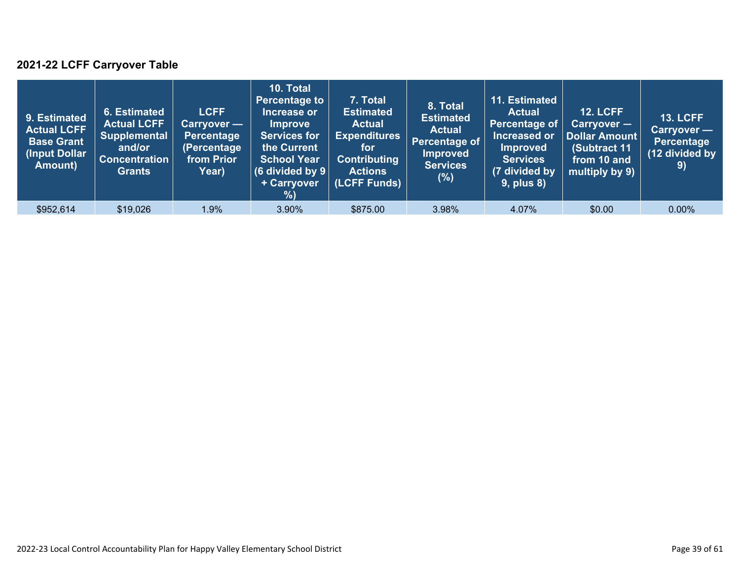### **2021-22 LCFF Carryover Table**

| 9. Estimated<br><b>Actual LCFF</b><br><b>Base Grant</b><br>(Input Dollar<br>Amount) | 6. Estimated<br><b>Actual LCFF</b><br><b>Supplemental</b><br>and/or<br><b>Concentration</b><br><b>Grants</b> | <b>LCFF</b><br>Carryover —<br>Percentage<br>(Percentage<br>from Prior<br>Year) | 10. Total<br><b>Percentage to</b><br>Increase or<br><b>Improve</b><br><b>Services for</b><br>the Current<br><b>School Year</b><br>(6 divided by $9$ $ $<br>+ Carryover<br>% | 7. Total<br><b>Estimated</b><br><b>Actual</b><br><b>Expenditures</b><br>for<br><b>Contributing</b><br><b>Actions</b><br>(LCFF Funds) | 8. Total<br><b>Estimated</b><br><b>Actual</b><br>Percentage of<br><b>Improved</b><br><b>Services</b><br>$(\%)$ | 11. Estimated<br><b>Actual</b><br>Percentage of<br>Increased or<br><b>Improved</b><br><b>Services</b><br>(7 divided by<br><b>9, plus 8)</b> | <b>12. LCFF</b><br>Carryover -<br>Dollar Amount<br>(Subtract 11<br>from 10 and<br>multiply by 9) | <b>13. LCFF</b><br>Carryover -<br><b>Percentage</b><br>(12 divided by<br>9) |
|-------------------------------------------------------------------------------------|--------------------------------------------------------------------------------------------------------------|--------------------------------------------------------------------------------|-----------------------------------------------------------------------------------------------------------------------------------------------------------------------------|--------------------------------------------------------------------------------------------------------------------------------------|----------------------------------------------------------------------------------------------------------------|---------------------------------------------------------------------------------------------------------------------------------------------|--------------------------------------------------------------------------------------------------|-----------------------------------------------------------------------------|
| \$952,614                                                                           | \$19,026                                                                                                     | 1.9%                                                                           | 3.90%                                                                                                                                                                       | \$875.00                                                                                                                             | 3.98%                                                                                                          | 4.07%                                                                                                                                       | \$0.00                                                                                           | $0.00\%$                                                                    |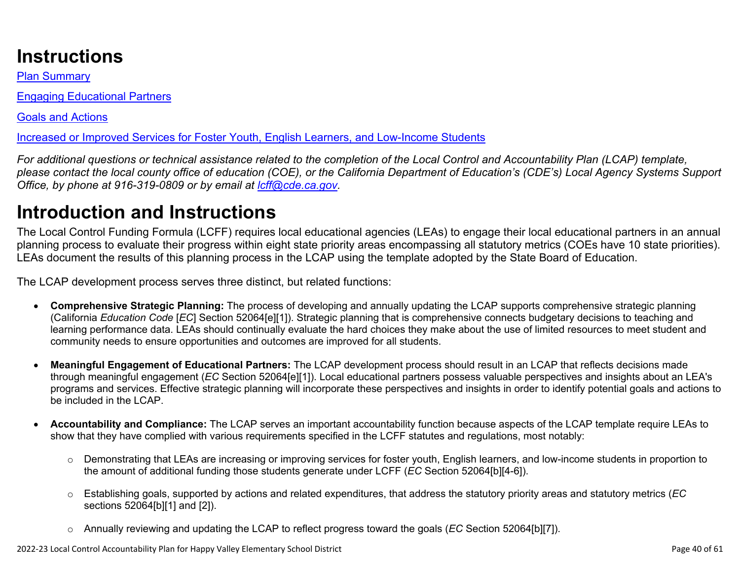# **Instructions**

Plan Summary

Engaging Educational Partners

Goals and Actions

Increased or Improved Services for Foster Youth, English Learners, and Low-Income Students

*For additional questions or technical assistance related to the completion of the Local Control and Accountability Plan (LCAP) template, please contact the local county office of education (COE), or the California Department of Education's (CDE's) Local Agency Systems Support Office, by phone at 916-319-0809 or by email at [lcff@cde.ca.gov](mailto:lcff@cde.ca.gov).*

# **Introduction and Instructions**

The Local Control Funding Formula (LCFF) requires local educational agencies (LEAs) to engage their local educational partners in an annual planning process to evaluate their progress within eight state priority areas encompassing all statutory metrics (COEs have 10 state priorities). LEAs document the results of this planning process in the LCAP using the template adopted by the State Board of Education.

The LCAP development process serves three distinct, but related functions:

- **Comprehensive Strategic Planning:** The process of developing and annually updating the LCAP supports comprehensive strategic planning (California *Education Code* [*EC*] Section 52064[e][1]). Strategic planning that is comprehensive connects budgetary decisions to teaching and learning performance data. LEAs should continually evaluate the hard choices they make about the use of limited resources to meet student and community needs to ensure opportunities and outcomes are improved for all students.
- **Meaningful Engagement of Educational Partners:** The LCAP development process should result in an LCAP that reflects decisions made through meaningful engagement (*EC* Section 52064[e][1]). Local educational partners possess valuable perspectives and insights about an LEA's programs and services. Effective strategic planning will incorporate these perspectives and insights in order to identify potential goals and actions to be included in the LCAP.
- **Accountability and Compliance:** The LCAP serves an important accountability function because aspects of the LCAP template require LEAs to show that they have complied with various requirements specified in the LCFF statutes and regulations, most notably:
	- o Demonstrating that LEAs are increasing or improving services for foster youth, English learners, and low-income students in proportion to the amount of additional funding those students generate under LCFF (*EC* Section 52064[b][4-6]).
	- o Establishing goals, supported by actions and related expenditures, that address the statutory priority areas and statutory metrics (*EC* sections 52064[b][1] and [2]).
	- o Annually reviewing and updating the LCAP to reflect progress toward the goals (*EC* Section 52064[b][7]).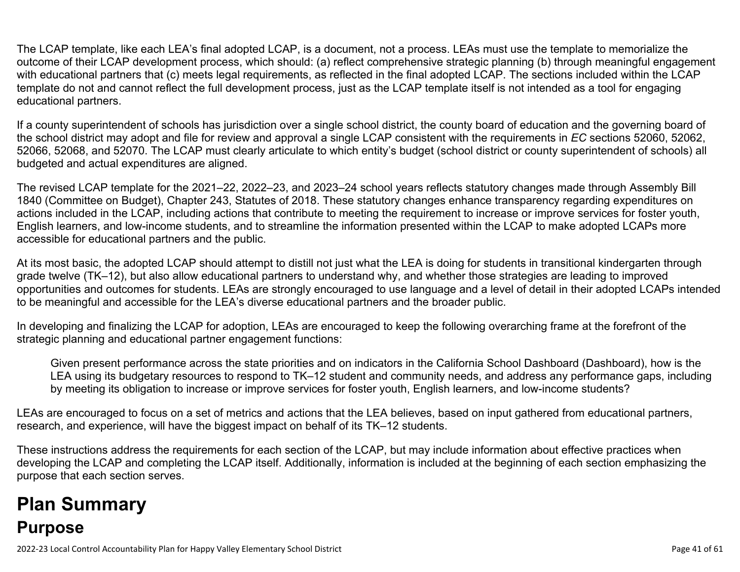The LCAP template, like each LEA's final adopted LCAP, is a document, not a process. LEAs must use the template to memorialize the outcome of their LCAP development process, which should: (a) reflect comprehensive strategic planning (b) through meaningful engagement with educational partners that (c) meets legal requirements, as reflected in the final adopted LCAP. The sections included within the LCAP template do not and cannot reflect the full development process, just as the LCAP template itself is not intended as a tool for engaging educational partners.

If a county superintendent of schools has jurisdiction over a single school district, the county board of education and the governing board of the school district may adopt and file for review and approval a single LCAP consistent with the requirements in *EC* sections 52060, 52062, 52066, 52068, and 52070. The LCAP must clearly articulate to which entity's budget (school district or county superintendent of schools) all budgeted and actual expenditures are aligned.

The revised LCAP template for the 2021–22, 2022–23, and 2023–24 school years reflects statutory changes made through Assembly Bill 1840 (Committee on Budget), Chapter 243, Statutes of 2018. These statutory changes enhance transparency regarding expenditures on actions included in the LCAP, including actions that contribute to meeting the requirement to increase or improve services for foster youth, English learners, and low-income students, and to streamline the information presented within the LCAP to make adopted LCAPs more accessible for educational partners and the public.

At its most basic, the adopted LCAP should attempt to distill not just what the LEA is doing for students in transitional kindergarten through grade twelve (TK–12), but also allow educational partners to understand why, and whether those strategies are leading to improved opportunities and outcomes for students. LEAs are strongly encouraged to use language and a level of detail in their adopted LCAPs intended to be meaningful and accessible for the LEA's diverse educational partners and the broader public.

In developing and finalizing the LCAP for adoption, LEAs are encouraged to keep the following overarching frame at the forefront of the strategic planning and educational partner engagement functions:

Given present performance across the state priorities and on indicators in the California School Dashboard (Dashboard), how is the LEA using its budgetary resources to respond to TK–12 student and community needs, and address any performance gaps, including by meeting its obligation to increase or improve services for foster youth, English learners, and low-income students?

LEAs are encouraged to focus on a set of metrics and actions that the LEA believes, based on input gathered from educational partners, research, and experience, will have the biggest impact on behalf of its TK–12 students.

These instructions address the requirements for each section of the LCAP, but may include information about effective practices when developing the LCAP and completing the LCAP itself. Additionally, information is included at the beginning of each section emphasizing the purpose that each section serves.

# **Plan Summary Purpose**

2022-23 Local Control Accountability Plan for Happy Valley Elementary School District **Page 41** of 61 and the state of 61 and the state Page 41 of 61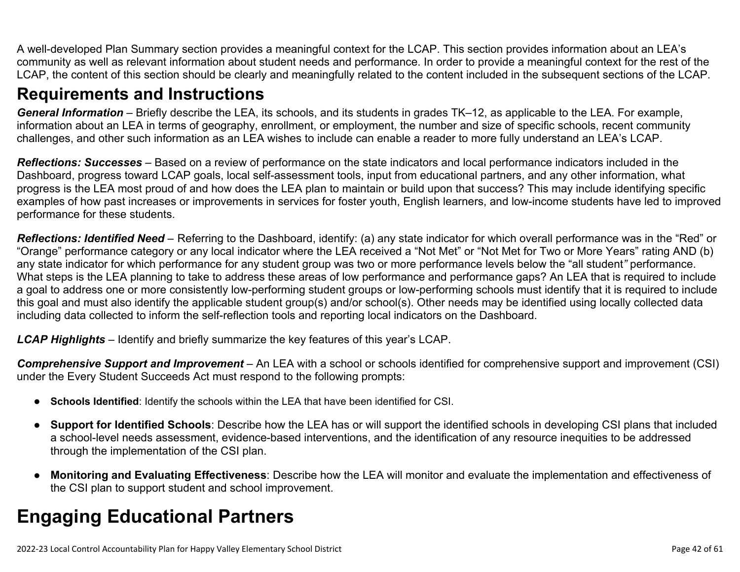A well-developed Plan Summary section provides a meaningful context for the LCAP. This section provides information about an LEA's community as well as relevant information about student needs and performance. In order to provide a meaningful context for the rest of the LCAP, the content of this section should be clearly and meaningfully related to the content included in the subsequent sections of the LCAP.

## **Requirements and Instructions**

*General Information* – Briefly describe the LEA, its schools, and its students in grades TK–12, as applicable to the LEA. For example, information about an LEA in terms of geography, enrollment, or employment, the number and size of specific schools, recent community challenges, and other such information as an LEA wishes to include can enable a reader to more fully understand an LEA's LCAP.

*Reflections: Successes* – Based on a review of performance on the state indicators and local performance indicators included in the Dashboard, progress toward LCAP goals, local self-assessment tools, input from educational partners, and any other information, what progress is the LEA most proud of and how does the LEA plan to maintain or build upon that success? This may include identifying specific examples of how past increases or improvements in services for foster youth, English learners, and low-income students have led to improved performance for these students.

*Reflections: Identified Need* – Referring to the Dashboard, identify: (a) any state indicator for which overall performance was in the "Red" or "Orange" performance category or any local indicator where the LEA received a "Not Met" or "Not Met for Two or More Years" rating AND (b) any state indicator for which performance for any student group was two or more performance levels below the "all student*"* performance. What steps is the LEA planning to take to address these areas of low performance and performance gaps? An LEA that is required to include a goal to address one or more consistently low-performing student groups or low-performing schools must identify that it is required to include this goal and must also identify the applicable student group(s) and/or school(s). Other needs may be identified using locally collected data including data collected to inform the self-reflection tools and reporting local indicators on the Dashboard.

*LCAP Highlights* – Identify and briefly summarize the key features of this year's LCAP.

*Comprehensive Support and Improvement* – An LEA with a school or schools identified for comprehensive support and improvement (CSI) under the Every Student Succeeds Act must respond to the following prompts:

- **Schools Identified**: Identify the schools within the LEA that have been identified for CSI.
- **Support for Identified Schools**: Describe how the LEA has or will support the identified schools in developing CSI plans that included a school-level needs assessment, evidence-based interventions, and the identification of any resource inequities to be addressed through the implementation of the CSI plan.
- **Monitoring and Evaluating Effectiveness**: Describe how the LEA will monitor and evaluate the implementation and effectiveness of the CSI plan to support student and school improvement.

# **Engaging Educational Partners**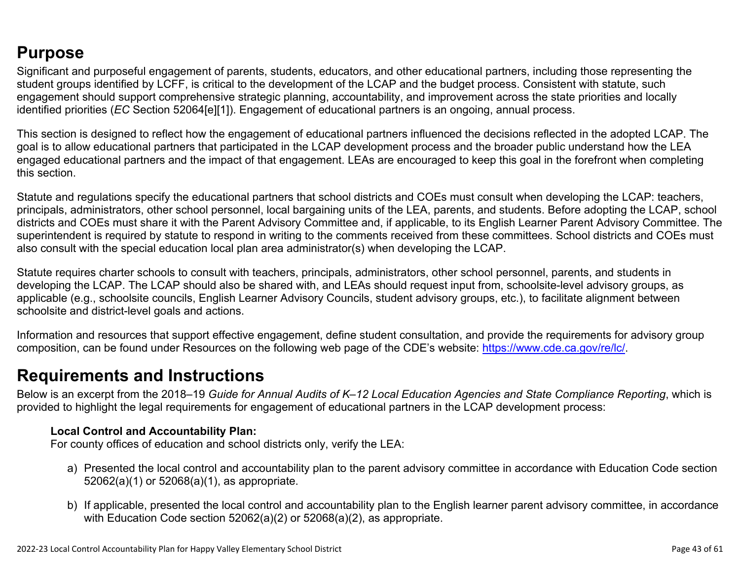## **Purpose**

Significant and purposeful engagement of parents, students, educators, and other educational partners, including those representing the student groups identified by LCFF, is critical to the development of the LCAP and the budget process. Consistent with statute, such engagement should support comprehensive strategic planning, accountability, and improvement across the state priorities and locally identified priorities (*EC* Section 52064[e][1]). Engagement of educational partners is an ongoing, annual process.

This section is designed to reflect how the engagement of educational partners influenced the decisions reflected in the adopted LCAP. The goal is to allow educational partners that participated in the LCAP development process and the broader public understand how the LEA engaged educational partners and the impact of that engagement. LEAs are encouraged to keep this goal in the forefront when completing this section.

Statute and regulations specify the educational partners that school districts and COEs must consult when developing the LCAP: teachers, principals, administrators, other school personnel, local bargaining units of the LEA, parents, and students. Before adopting the LCAP, school districts and COEs must share it with the Parent Advisory Committee and, if applicable, to its English Learner Parent Advisory Committee. The superintendent is required by statute to respond in writing to the comments received from these committees. School districts and COEs must also consult with the special education local plan area administrator(s) when developing the LCAP.

Statute requires charter schools to consult with teachers, principals, administrators, other school personnel, parents, and students in developing the LCAP. The LCAP should also be shared with, and LEAs should request input from, schoolsite-level advisory groups, as applicable (e.g., schoolsite councils, English Learner Advisory Councils, student advisory groups, etc.), to facilitate alignment between schoolsite and district-level goals and actions.

Information and resources that support effective engagement, define student consultation, and provide the requirements for advisory group composition, can be found under Resources on the following web page of the CDE's website: <https://www.cde.ca.gov/re/lc/>.

## **Requirements and Instructions**

Below is an excerpt from the 2018–19 *Guide for Annual Audits of K–12 Local Education Agencies and State Compliance Reporting*, which is provided to highlight the legal requirements for engagement of educational partners in the LCAP development process:

### **Local Control and Accountability Plan:**

For county offices of education and school districts only, verify the LEA:

- a) Presented the local control and accountability plan to the parent advisory committee in accordance with Education Code section 52062(a)(1) or 52068(a)(1), as appropriate.
- b) If applicable, presented the local control and accountability plan to the English learner parent advisory committee, in accordance with Education Code section 52062(a)(2) or 52068(a)(2), as appropriate.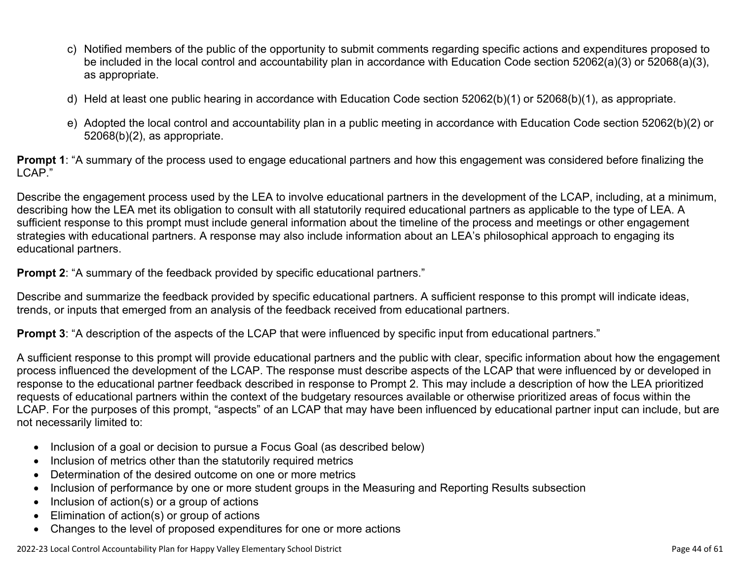- c) Notified members of the public of the opportunity to submit comments regarding specific actions and expenditures proposed to be included in the local control and accountability plan in accordance with Education Code section 52062(a)(3) or 52068(a)(3), as appropriate.
- d) Held at least one public hearing in accordance with Education Code section 52062(b)(1) or 52068(b)(1), as appropriate.
- e) Adopted the local control and accountability plan in a public meeting in accordance with Education Code section 52062(b)(2) or 52068(b)(2), as appropriate.

**Prompt 1**: "A summary of the process used to engage educational partners and how this engagement was considered before finalizing the LCAP."

Describe the engagement process used by the LEA to involve educational partners in the development of the LCAP, including, at a minimum, describing how the LEA met its obligation to consult with all statutorily required educational partners as applicable to the type of LEA. A sufficient response to this prompt must include general information about the timeline of the process and meetings or other engagement strategies with educational partners. A response may also include information about an LEA's philosophical approach to engaging its educational partners.

**Prompt 2:** "A summary of the feedback provided by specific educational partners."

Describe and summarize the feedback provided by specific educational partners. A sufficient response to this prompt will indicate ideas, trends, or inputs that emerged from an analysis of the feedback received from educational partners.

**Prompt 3**: "A description of the aspects of the LCAP that were influenced by specific input from educational partners."

A sufficient response to this prompt will provide educational partners and the public with clear, specific information about how the engagement process influenced the development of the LCAP. The response must describe aspects of the LCAP that were influenced by or developed in response to the educational partner feedback described in response to Prompt 2. This may include a description of how the LEA prioritized requests of educational partners within the context of the budgetary resources available or otherwise prioritized areas of focus within the LCAP. For the purposes of this prompt, "aspects" of an LCAP that may have been influenced by educational partner input can include, but are not necessarily limited to:

- Inclusion of a goal or decision to pursue a Focus Goal (as described below)
- Inclusion of metrics other than the statutorily required metrics
- Determination of the desired outcome on one or more metrics
- Inclusion of performance by one or more student groups in the Measuring and Reporting Results subsection
- Inclusion of action(s) or a group of actions
- Elimination of action(s) or group of actions
- Changes to the level of proposed expenditures for one or more actions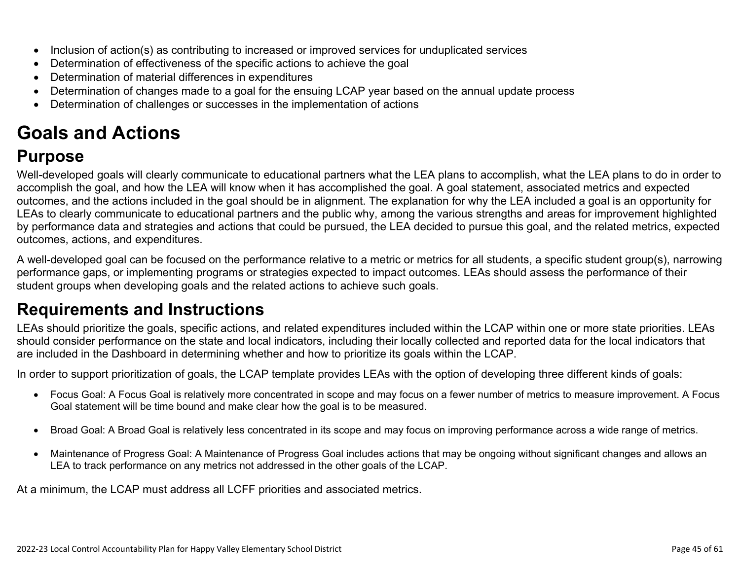- Inclusion of action(s) as contributing to increased or improved services for unduplicated services
- Determination of effectiveness of the specific actions to achieve the goal
- Determination of material differences in expenditures
- Determination of changes made to a goal for the ensuing LCAP year based on the annual update process
- Determination of challenges or successes in the implementation of actions

# **Goals and Actions**

## **Purpose**

Well-developed goals will clearly communicate to educational partners what the LEA plans to accomplish, what the LEA plans to do in order to accomplish the goal, and how the LEA will know when it has accomplished the goal. A goal statement, associated metrics and expected outcomes, and the actions included in the goal should be in alignment. The explanation for why the LEA included a goal is an opportunity for LEAs to clearly communicate to educational partners and the public why, among the various strengths and areas for improvement highlighted by performance data and strategies and actions that could be pursued, the LEA decided to pursue this goal, and the related metrics, expected outcomes, actions, and expenditures.

A well-developed goal can be focused on the performance relative to a metric or metrics for all students, a specific student group(s), narrowing performance gaps, or implementing programs or strategies expected to impact outcomes. LEAs should assess the performance of their student groups when developing goals and the related actions to achieve such goals.

## **Requirements and Instructions**

LEAs should prioritize the goals, specific actions, and related expenditures included within the LCAP within one or more state priorities. LEAs should consider performance on the state and local indicators, including their locally collected and reported data for the local indicators that are included in the Dashboard in determining whether and how to prioritize its goals within the LCAP.

In order to support prioritization of goals, the LCAP template provides LEAs with the option of developing three different kinds of goals:

- Focus Goal: A Focus Goal is relatively more concentrated in scope and may focus on a fewer number of metrics to measure improvement. A Focus Goal statement will be time bound and make clear how the goal is to be measured.
- Broad Goal: A Broad Goal is relatively less concentrated in its scope and may focus on improving performance across a wide range of metrics.
- Maintenance of Progress Goal: A Maintenance of Progress Goal includes actions that may be ongoing without significant changes and allows an LEA to track performance on any metrics not addressed in the other goals of the LCAP.

At a minimum, the LCAP must address all LCFF priorities and associated metrics.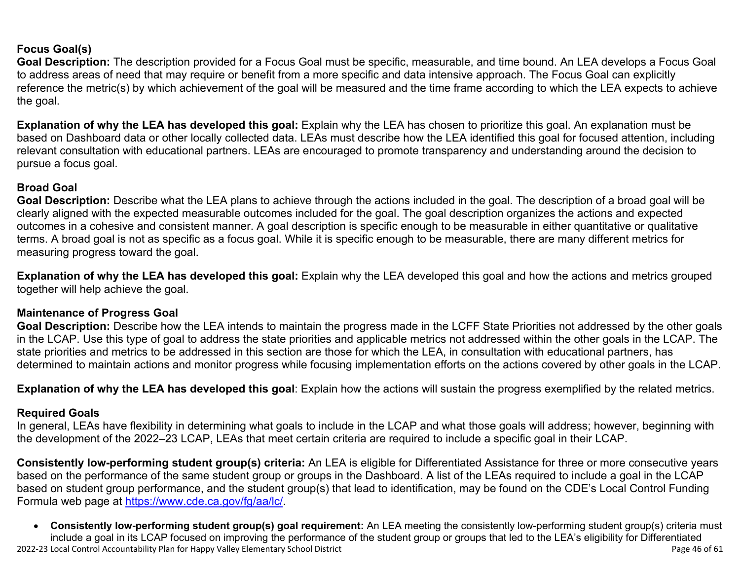### **Focus Goal(s)**

**Goal Description:** The description provided for a Focus Goal must be specific, measurable, and time bound. An LEA develops a Focus Goal to address areas of need that may require or benefit from a more specific and data intensive approach. The Focus Goal can explicitly reference the metric(s) by which achievement of the goal will be measured and the time frame according to which the LEA expects to achieve the goal.

**Explanation of why the LEA has developed this goal:** Explain why the LEA has chosen to prioritize this goal. An explanation must be based on Dashboard data or other locally collected data. LEAs must describe how the LEA identified this goal for focused attention, including relevant consultation with educational partners. LEAs are encouraged to promote transparency and understanding around the decision to pursue a focus goal.

### **Broad Goal**

Goal Description: Describe what the LEA plans to achieve through the actions included in the goal. The description of a broad goal will be clearly aligned with the expected measurable outcomes included for the goal. The goal description organizes the actions and expected outcomes in a cohesive and consistent manner. A goal description is specific enough to be measurable in either quantitative or qualitative terms. A broad goal is not as specific as a focus goal. While it is specific enough to be measurable, there are many different metrics for measuring progress toward the goal.

**Explanation of why the LEA has developed this goal:** Explain why the LEA developed this goal and how the actions and metrics grouped together will help achieve the goal.

#### **Maintenance of Progress Goal**

**Goal Description:** Describe how the LEA intends to maintain the progress made in the LCFF State Priorities not addressed by the other goals in the LCAP. Use this type of goal to address the state priorities and applicable metrics not addressed within the other goals in the LCAP. The state priorities and metrics to be addressed in this section are those for which the LEA, in consultation with educational partners, has determined to maintain actions and monitor progress while focusing implementation efforts on the actions covered by other goals in the LCAP.

**Explanation of why the LEA has developed this goal**: Explain how the actions will sustain the progress exemplified by the related metrics.

#### **Required Goals**

In general, LEAs have flexibility in determining what goals to include in the LCAP and what those goals will address; however, beginning with the development of the 2022–23 LCAP, LEAs that meet certain criteria are required to include a specific goal in their LCAP.

**Consistently low-performing student group(s) criteria:** An LEA is eligible for Differentiated Assistance for three or more consecutive years based on the performance of the same student group or groups in the Dashboard. A list of the LEAs required to include a goal in the LCAP based on student group performance, and the student group(s) that lead to identification, may be found on the CDE's Local Control Funding Formula web page at [https://www.cde.ca.gov/fg/aa/lc/.](https://www.cde.ca.gov/fg/aa/lc/)

2022-23 Local Control Accountability Plan for Happy Valley Elementary School District **Page 46 of 61** and the state of 61 of 61 of 61 and the state Page 46 of 61 and the state Page 46 of 61 and the state Page 46 of 61 and • **Consistently low-performing student group(s) goal requirement:** An LEA meeting the consistently low-performing student group(s) criteria must include a goal in its LCAP focused on improving the performance of the student group or groups that led to the LEA's eligibility for Differentiated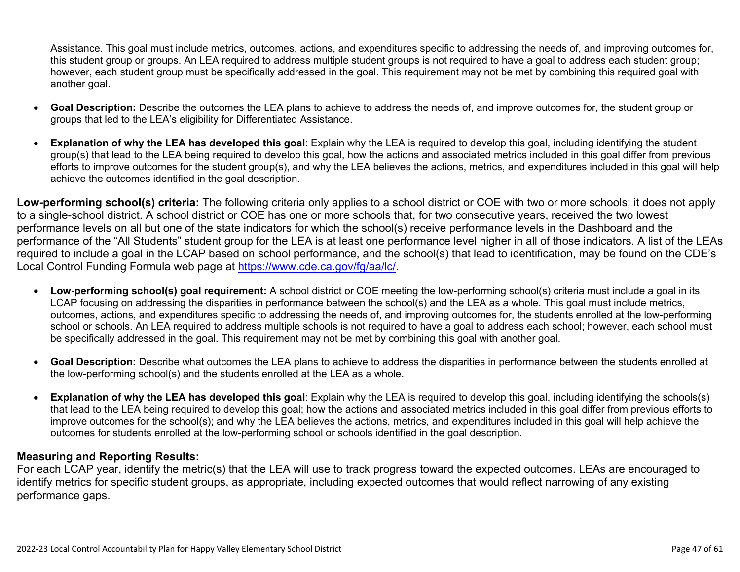Assistance. This goal must include metrics, outcomes, actions, and expenditures specific to addressing the needs of, and improving outcomes for, this student group or groups. An LEA required to address multiple student groups is not required to have a goal to address each student group; however, each student group must be specifically addressed in the goal. This requirement may not be met by combining this required goal with another goal.

- **Goal Description:** Describe the outcomes the LEA plans to achieve to address the needs of, and improve outcomes for, the student group or groups that led to the LEA's eligibility for Differentiated Assistance.
- **Explanation of why the LEA has developed this goal**: Explain why the LEA is required to develop this goal, including identifying the student group(s) that lead to the LEA being required to develop this goal, how the actions and associated metrics included in this goal differ from previous efforts to improve outcomes for the student group(s), and why the LEA believes the actions, metrics, and expenditures included in this goal will help achieve the outcomes identified in the goal description.

**Low-performing school(s) criteria:** The following criteria only applies to a school district or COE with two or more schools; it does not apply to a single-school district. A school district or COE has one or more schools that, for two consecutive years, received the two lowest performance levels on all but one of the state indicators for which the school(s) receive performance levels in the Dashboard and the performance of the "All Students" student group for the LEA is at least one performance level higher in all of those indicators. A list of the LEAs required to include a goal in the LCAP based on school performance, and the school(s) that lead to identification, may be found on the CDE's Local Control Funding Formula web page at [https://www.cde.ca.gov/fg/aa/lc/.](https://www.cde.ca.gov/fg/aa/lc/)

- **Low-performing school(s) goal requirement:** A school district or COE meeting the low-performing school(s) criteria must include a goal in its LCAP focusing on addressing the disparities in performance between the school(s) and the LEA as a whole. This goal must include metrics, outcomes, actions, and expenditures specific to addressing the needs of, and improving outcomes for, the students enrolled at the low-performing school or schools. An LEA required to address multiple schools is not required to have a goal to address each school; however, each school must be specifically addressed in the goal. This requirement may not be met by combining this goal with another goal.
- **Goal Description:** Describe what outcomes the LEA plans to achieve to address the disparities in performance between the students enrolled at the low-performing school(s) and the students enrolled at the LEA as a whole.
- **Explanation of why the LEA has developed this goal**: Explain why the LEA is required to develop this goal, including identifying the schools(s) that lead to the LEA being required to develop this goal; how the actions and associated metrics included in this goal differ from previous efforts to improve outcomes for the school(s); and why the LEA believes the actions, metrics, and expenditures included in this goal will help achieve the outcomes for students enrolled at the low-performing school or schools identified in the goal description.

### **Measuring and Reporting Results:**

For each LCAP year, identify the metric(s) that the LEA will use to track progress toward the expected outcomes. LEAs are encouraged to identify metrics for specific student groups, as appropriate, including expected outcomes that would reflect narrowing of any existing performance gaps.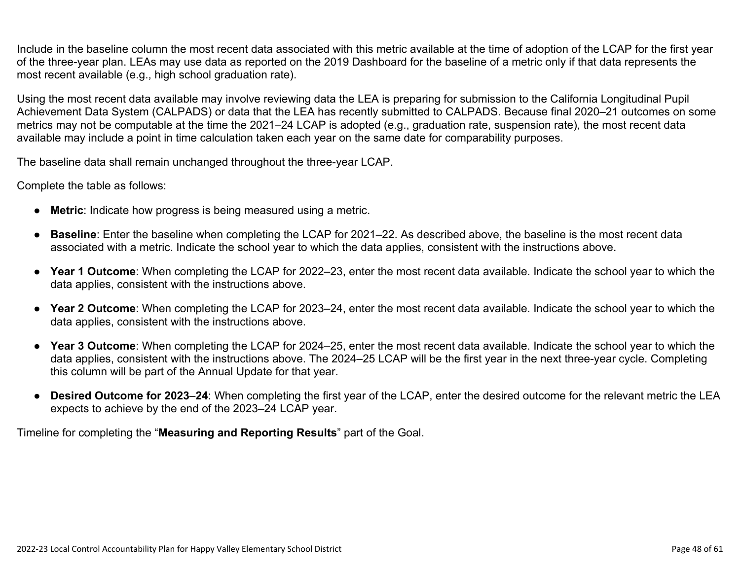Include in the baseline column the most recent data associated with this metric available at the time of adoption of the LCAP for the first year of the three-year plan. LEAs may use data as reported on the 2019 Dashboard for the baseline of a metric only if that data represents the most recent available (e.g., high school graduation rate).

Using the most recent data available may involve reviewing data the LEA is preparing for submission to the California Longitudinal Pupil Achievement Data System (CALPADS) or data that the LEA has recently submitted to CALPADS. Because final 2020–21 outcomes on some metrics may not be computable at the time the 2021–24 LCAP is adopted (e.g., graduation rate, suspension rate), the most recent data available may include a point in time calculation taken each year on the same date for comparability purposes.

The baseline data shall remain unchanged throughout the three-year LCAP.

Complete the table as follows:

- **Metric**: Indicate how progress is being measured using a metric.
- **Baseline**: Enter the baseline when completing the LCAP for 2021–22. As described above, the baseline is the most recent data associated with a metric. Indicate the school year to which the data applies, consistent with the instructions above.
- **Year 1 Outcome**: When completing the LCAP for 2022–23, enter the most recent data available. Indicate the school year to which the data applies, consistent with the instructions above.
- **Year 2 Outcome**: When completing the LCAP for 2023–24, enter the most recent data available. Indicate the school year to which the data applies, consistent with the instructions above.
- **Year 3 Outcome**: When completing the LCAP for 2024–25, enter the most recent data available. Indicate the school year to which the data applies, consistent with the instructions above. The 2024–25 LCAP will be the first year in the next three-year cycle. Completing this column will be part of the Annual Update for that year.
- **Desired Outcome for 2023**–**24**: When completing the first year of the LCAP, enter the desired outcome for the relevant metric the LEA expects to achieve by the end of the 2023–24 LCAP year.

Timeline for completing the "**Measuring and Reporting Results**" part of the Goal.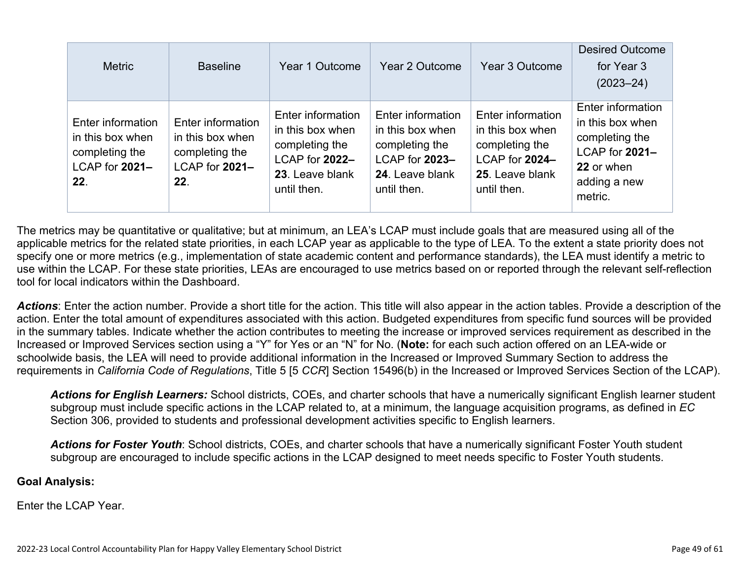| <b>Metric</b>                                                                    | <b>Baseline</b>                                                                  | Year 1 Outcome                                                                                              | Year 2 Outcome                                                                                              | Year 3 Outcome                                                                                              | <b>Desired Outcome</b><br>for Year 3<br>$(2023 - 24)$                                                              |
|----------------------------------------------------------------------------------|----------------------------------------------------------------------------------|-------------------------------------------------------------------------------------------------------------|-------------------------------------------------------------------------------------------------------------|-------------------------------------------------------------------------------------------------------------|--------------------------------------------------------------------------------------------------------------------|
| Enter information<br>in this box when<br>completing the<br>LCAP for 2021-<br>22. | Enter information<br>in this box when<br>completing the<br>LCAP for 2021-<br>22. | Enter information<br>in this box when<br>completing the<br>LCAP for 2022-<br>23. Leave blank<br>until then. | Enter information<br>in this box when<br>completing the<br>LCAP for 2023-<br>24. Leave blank<br>until then. | Enter information<br>in this box when<br>completing the<br>LCAP for 2024-<br>25. Leave blank<br>until then. | Enter information<br>in this box when<br>completing the<br>LCAP for 2021-<br>22 or when<br>adding a new<br>metric. |

The metrics may be quantitative or qualitative; but at minimum, an LEA's LCAP must include goals that are measured using all of the applicable metrics for the related state priorities, in each LCAP year as applicable to the type of LEA. To the extent a state priority does not specify one or more metrics (e.g., implementation of state academic content and performance standards), the LEA must identify a metric to use within the LCAP. For these state priorities, LEAs are encouraged to use metrics based on or reported through the relevant self-reflection tool for local indicators within the Dashboard.

*Actions*: Enter the action number. Provide a short title for the action. This title will also appear in the action tables. Provide a description of the action. Enter the total amount of expenditures associated with this action. Budgeted expenditures from specific fund sources will be provided in the summary tables. Indicate whether the action contributes to meeting the increase or improved services requirement as described in the Increased or Improved Services section using a "Y" for Yes or an "N" for No. (**Note:** for each such action offered on an LEA-wide or schoolwide basis, the LEA will need to provide additional information in the Increased or Improved Summary Section to address the requirements in *California Code of Regulations*, Title 5 [5 *CCR*] Section 15496(b) in the Increased or Improved Services Section of the LCAP).

*Actions for English Learners:* School districts, COEs, and charter schools that have a numerically significant English learner student subgroup must include specific actions in the LCAP related to, at a minimum, the language acquisition programs, as defined in *EC* Section 306, provided to students and professional development activities specific to English learners.

*Actions for Foster Youth*: School districts, COEs, and charter schools that have a numerically significant Foster Youth student subgroup are encouraged to include specific actions in the LCAP designed to meet needs specific to Foster Youth students.

#### **Goal Analysis:**

Enter the LCAP Year.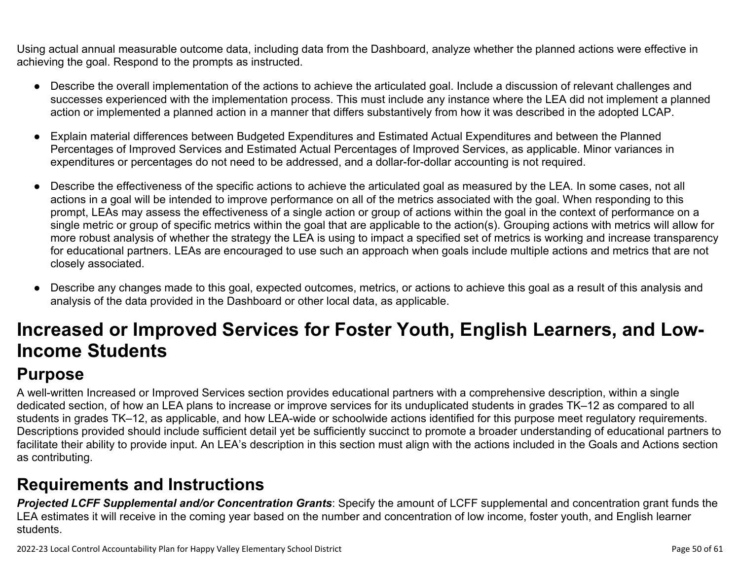Using actual annual measurable outcome data, including data from the Dashboard, analyze whether the planned actions were effective in achieving the goal. Respond to the prompts as instructed.

- Describe the overall implementation of the actions to achieve the articulated goal. Include a discussion of relevant challenges and successes experienced with the implementation process. This must include any instance where the LEA did not implement a planned action or implemented a planned action in a manner that differs substantively from how it was described in the adopted LCAP.
- Explain material differences between Budgeted Expenditures and Estimated Actual Expenditures and between the Planned Percentages of Improved Services and Estimated Actual Percentages of Improved Services, as applicable. Minor variances in expenditures or percentages do not need to be addressed, and a dollar-for-dollar accounting is not required.
- Describe the effectiveness of the specific actions to achieve the articulated goal as measured by the LEA. In some cases, not all actions in a goal will be intended to improve performance on all of the metrics associated with the goal. When responding to this prompt, LEAs may assess the effectiveness of a single action or group of actions within the goal in the context of performance on a single metric or group of specific metrics within the goal that are applicable to the action(s). Grouping actions with metrics will allow for more robust analysis of whether the strategy the LEA is using to impact a specified set of metrics is working and increase transparency for educational partners. LEAs are encouraged to use such an approach when goals include multiple actions and metrics that are not closely associated.
- Describe any changes made to this goal, expected outcomes, metrics, or actions to achieve this goal as a result of this analysis and analysis of the data provided in the Dashboard or other local data, as applicable.

# **Increased or Improved Services for Foster Youth, English Learners, and Low-Income Students**

# **Purpose**

A well-written Increased or Improved Services section provides educational partners with a comprehensive description, within a single dedicated section, of how an LEA plans to increase or improve services for its unduplicated students in grades TK–12 as compared to all students in grades TK–12, as applicable, and how LEA-wide or schoolwide actions identified for this purpose meet regulatory requirements. Descriptions provided should include sufficient detail yet be sufficiently succinct to promote a broader understanding of educational partners to facilitate their ability to provide input. An LEA's description in this section must align with the actions included in the Goals and Actions section as contributing.

## **Requirements and Instructions**

*Projected LCFF Supplemental and/or Concentration Grants*: Specify the amount of LCFF supplemental and concentration grant funds the LEA estimates it will receive in the coming year based on the number and concentration of low income, foster youth, and English learner students.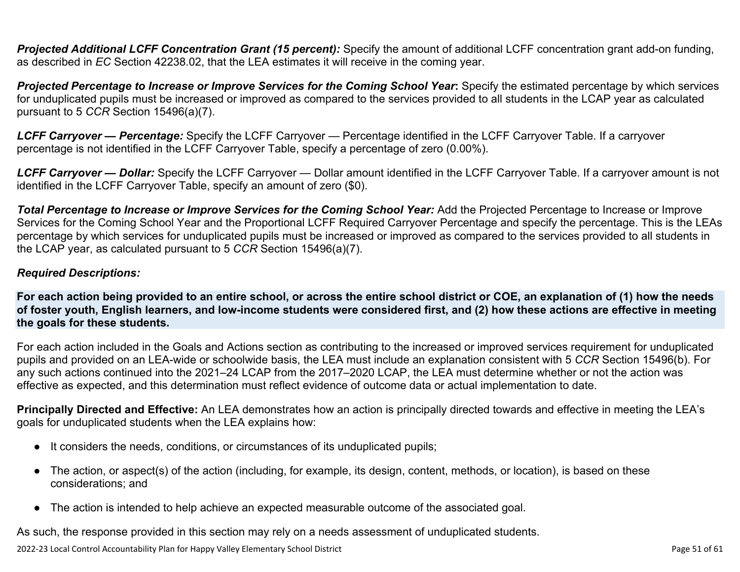**Projected Additional LCFF Concentration Grant (15 percent):** Specify the amount of additional LCFF concentration grant add-on funding, as described in *EC* Section 42238.02, that the LEA estimates it will receive in the coming year.

*Projected Percentage to Increase or Improve Services for the Coming School Year***:** Specify the estimated percentage by which services for unduplicated pupils must be increased or improved as compared to the services provided to all students in the LCAP year as calculated pursuant to 5 *CCR* Section 15496(a)(7).

*LCFF Carryover — Percentage:* Specify the LCFF Carryover — Percentage identified in the LCFF Carryover Table. If a carryover percentage is not identified in the LCFF Carryover Table, specify a percentage of zero (0.00%).

*LCFF Carryover — Dollar:* Specify the LCFF Carryover — Dollar amount identified in the LCFF Carryover Table. If a carryover amount is not identified in the LCFF Carryover Table, specify an amount of zero (\$0).

**Total Percentage to Increase or Improve Services for the Coming School Year:** Add the Projected Percentage to Increase or Improve Services for the Coming School Year and the Proportional LCFF Required Carryover Percentage and specify the percentage. This is the LEAs percentage by which services for unduplicated pupils must be increased or improved as compared to the services provided to all students in the LCAP year, as calculated pursuant to 5 *CCR* Section 15496(a)(7).

### *Required Descriptions:*

**For each action being provided to an entire school, or across the entire school district or COE, an explanation of (1) how the needs of foster youth, English learners, and low-income students were considered first, and (2) how these actions are effective in meeting the goals for these students.**

For each action included in the Goals and Actions section as contributing to the increased or improved services requirement for unduplicated pupils and provided on an LEA-wide or schoolwide basis, the LEA must include an explanation consistent with 5 *CCR* Section 15496(b). For any such actions continued into the 2021–24 LCAP from the 2017–2020 LCAP, the LEA must determine whether or not the action was effective as expected, and this determination must reflect evidence of outcome data or actual implementation to date.

**Principally Directed and Effective:** An LEA demonstrates how an action is principally directed towards and effective in meeting the LEA's goals for unduplicated students when the LEA explains how:

- It considers the needs, conditions, or circumstances of its unduplicated pupils;
- The action, or aspect(s) of the action (including, for example, its design, content, methods, or location), is based on these considerations; and
- The action is intended to help achieve an expected measurable outcome of the associated goal.

As such, the response provided in this section may rely on a needs assessment of unduplicated students.

2022-23 Local Control Accountability Plan for Happy Valley Elementary School District Page 51 of 61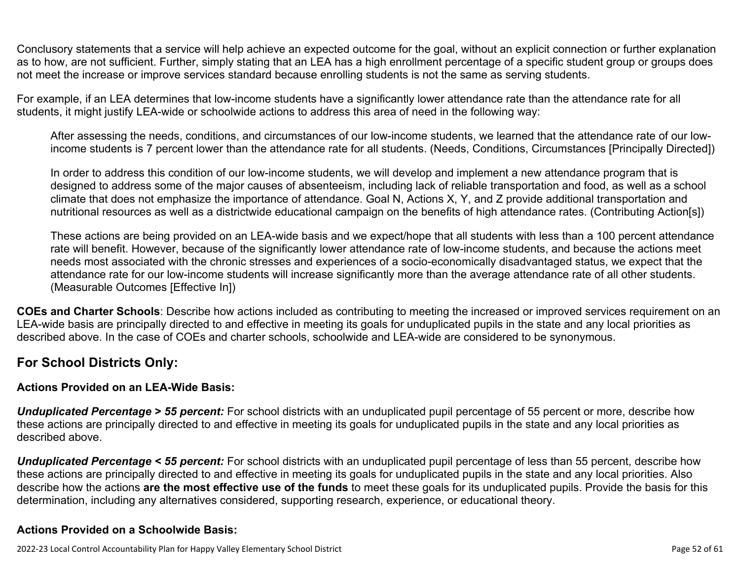Conclusory statements that a service will help achieve an expected outcome for the goal, without an explicit connection or further explanation as to how, are not sufficient. Further, simply stating that an LEA has a high enrollment percentage of a specific student group or groups does not meet the increase or improve services standard because enrolling students is not the same as serving students.

For example, if an LEA determines that low-income students have a significantly lower attendance rate than the attendance rate for all students, it might justify LEA-wide or schoolwide actions to address this area of need in the following way:

After assessing the needs, conditions, and circumstances of our low-income students, we learned that the attendance rate of our lowincome students is 7 percent lower than the attendance rate for all students. (Needs, Conditions, Circumstances [Principally Directed])

In order to address this condition of our low-income students, we will develop and implement a new attendance program that is designed to address some of the major causes of absenteeism, including lack of reliable transportation and food, as well as a school climate that does not emphasize the importance of attendance. Goal N, Actions X, Y, and Z provide additional transportation and nutritional resources as well as a districtwide educational campaign on the benefits of high attendance rates. (Contributing Action[s])

These actions are being provided on an LEA-wide basis and we expect/hope that all students with less than a 100 percent attendance rate will benefit. However, because of the significantly lower attendance rate of low-income students, and because the actions meet needs most associated with the chronic stresses and experiences of a socio-economically disadvantaged status, we expect that the attendance rate for our low-income students will increase significantly more than the average attendance rate of all other students. (Measurable Outcomes [Effective In])

**COEs and Charter Schools**: Describe how actions included as contributing to meeting the increased or improved services requirement on an LEA-wide basis are principally directed to and effective in meeting its goals for unduplicated pupils in the state and any local priorities as described above. In the case of COEs and charter schools, schoolwide and LEA-wide are considered to be synonymous.

### **For School Districts Only:**

### **Actions Provided on an LEA-Wide Basis:**

*Unduplicated Percentage > 55 percent:* For school districts with an unduplicated pupil percentage of 55 percent or more, describe how these actions are principally directed to and effective in meeting its goals for unduplicated pupils in the state and any local priorities as described above.

*Unduplicated Percentage < 55 percent:* For school districts with an unduplicated pupil percentage of less than 55 percent, describe how these actions are principally directed to and effective in meeting its goals for unduplicated pupils in the state and any local priorities. Also describe how the actions **are the most effective use of the funds** to meet these goals for its unduplicated pupils. Provide the basis for this determination, including any alternatives considered, supporting research, experience, or educational theory.

### **Actions Provided on a Schoolwide Basis:**

2022-23 Local Control Accountability Plan for Happy Valley Elementary School District **Page 52** of 61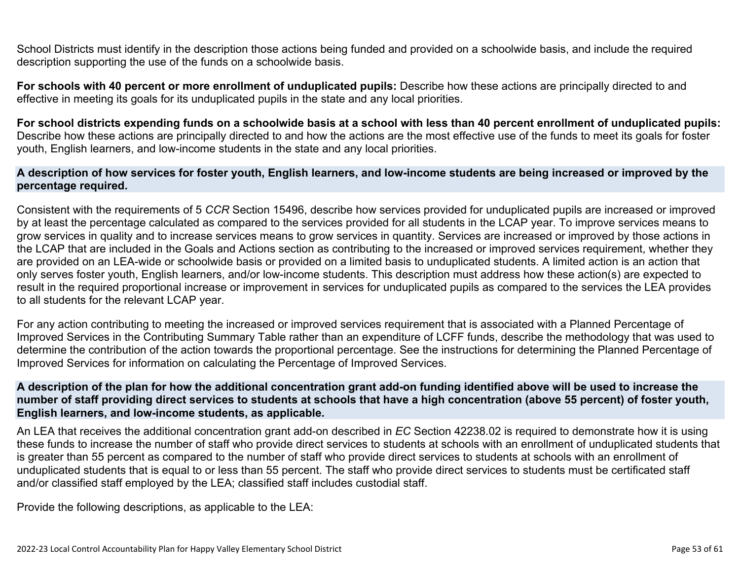School Districts must identify in the description those actions being funded and provided on a schoolwide basis, and include the required description supporting the use of the funds on a schoolwide basis.

**For schools with 40 percent or more enrollment of unduplicated pupils:** Describe how these actions are principally directed to and effective in meeting its goals for its unduplicated pupils in the state and any local priorities.

**For school districts expending funds on a schoolwide basis at a school with less than 40 percent enrollment of unduplicated pupils:** Describe how these actions are principally directed to and how the actions are the most effective use of the funds to meet its goals for foster youth, English learners, and low-income students in the state and any local priorities.

#### **A description of how services for foster youth, English learners, and low-income students are being increased or improved by the percentage required.**

Consistent with the requirements of 5 *CCR* Section 15496, describe how services provided for unduplicated pupils are increased or improved by at least the percentage calculated as compared to the services provided for all students in the LCAP year. To improve services means to grow services in quality and to increase services means to grow services in quantity. Services are increased or improved by those actions in the LCAP that are included in the Goals and Actions section as contributing to the increased or improved services requirement, whether they are provided on an LEA-wide or schoolwide basis or provided on a limited basis to unduplicated students. A limited action is an action that only serves foster youth, English learners, and/or low-income students. This description must address how these action(s) are expected to result in the required proportional increase or improvement in services for unduplicated pupils as compared to the services the LEA provides to all students for the relevant LCAP year.

For any action contributing to meeting the increased or improved services requirement that is associated with a Planned Percentage of Improved Services in the Contributing Summary Table rather than an expenditure of LCFF funds, describe the methodology that was used to determine the contribution of the action towards the proportional percentage. See the instructions for determining the Planned Percentage of Improved Services for information on calculating the Percentage of Improved Services.

#### **A description of the plan for how the additional concentration grant add-on funding identified above will be used to increase the number of staff providing direct services to students at schools that have a high concentration (above 55 percent) of foster youth, English learners, and low-income students, as applicable.**

An LEA that receives the additional concentration grant add-on described in *EC* Section 42238.02 is required to demonstrate how it is using these funds to increase the number of staff who provide direct services to students at schools with an enrollment of unduplicated students that is greater than 55 percent as compared to the number of staff who provide direct services to students at schools with an enrollment of unduplicated students that is equal to or less than 55 percent. The staff who provide direct services to students must be certificated staff and/or classified staff employed by the LEA; classified staff includes custodial staff.

Provide the following descriptions, as applicable to the LEA: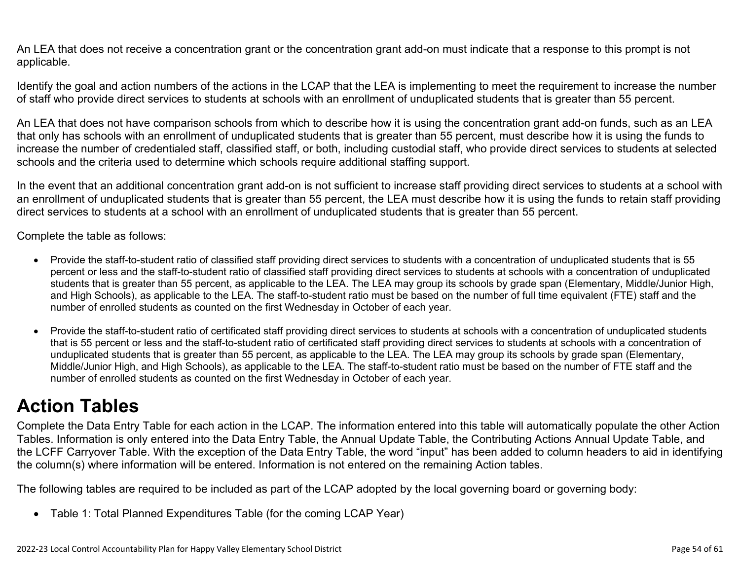An LEA that does not receive a concentration grant or the concentration grant add-on must indicate that a response to this prompt is not applicable.

Identify the goal and action numbers of the actions in the LCAP that the LEA is implementing to meet the requirement to increase the number of staff who provide direct services to students at schools with an enrollment of unduplicated students that is greater than 55 percent.

An LEA that does not have comparison schools from which to describe how it is using the concentration grant add-on funds, such as an LEA that only has schools with an enrollment of unduplicated students that is greater than 55 percent, must describe how it is using the funds to increase the number of credentialed staff, classified staff, or both, including custodial staff, who provide direct services to students at selected schools and the criteria used to determine which schools require additional staffing support.

In the event that an additional concentration grant add-on is not sufficient to increase staff providing direct services to students at a school with an enrollment of unduplicated students that is greater than 55 percent, the LEA must describe how it is using the funds to retain staff providing direct services to students at a school with an enrollment of unduplicated students that is greater than 55 percent.

Complete the table as follows:

- Provide the staff-to-student ratio of classified staff providing direct services to students with a concentration of unduplicated students that is 55 percent or less and the staff-to-student ratio of classified staff providing direct services to students at schools with a concentration of unduplicated students that is greater than 55 percent, as applicable to the LEA. The LEA may group its schools by grade span (Elementary, Middle/Junior High, and High Schools), as applicable to the LEA. The staff-to-student ratio must be based on the number of full time equivalent (FTE) staff and the number of enrolled students as counted on the first Wednesday in October of each year.
- Provide the staff-to-student ratio of certificated staff providing direct services to students at schools with a concentration of unduplicated students that is 55 percent or less and the staff-to-student ratio of certificated staff providing direct services to students at schools with a concentration of unduplicated students that is greater than 55 percent, as applicable to the LEA. The LEA may group its schools by grade span (Elementary, Middle/Junior High, and High Schools), as applicable to the LEA. The staff-to-student ratio must be based on the number of FTE staff and the number of enrolled students as counted on the first Wednesday in October of each year.

# **Action Tables**

Complete the Data Entry Table for each action in the LCAP. The information entered into this table will automatically populate the other Action Tables. Information is only entered into the Data Entry Table, the Annual Update Table, the Contributing Actions Annual Update Table, and the LCFF Carryover Table. With the exception of the Data Entry Table, the word "input" has been added to column headers to aid in identifying the column(s) where information will be entered. Information is not entered on the remaining Action tables.

The following tables are required to be included as part of the LCAP adopted by the local governing board or governing body:

• Table 1: Total Planned Expenditures Table (for the coming LCAP Year)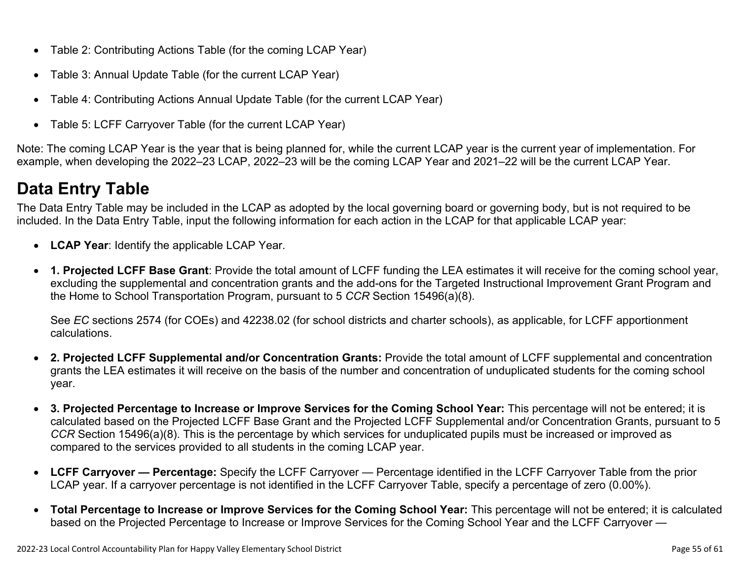- Table 2: Contributing Actions Table (for the coming LCAP Year)
- Table 3: Annual Update Table (for the current LCAP Year)
- Table 4: Contributing Actions Annual Update Table (for the current LCAP Year)
- Table 5: LCFF Carryover Table (for the current LCAP Year)

Note: The coming LCAP Year is the year that is being planned for, while the current LCAP year is the current year of implementation. For example, when developing the 2022–23 LCAP, 2022–23 will be the coming LCAP Year and 2021–22 will be the current LCAP Year.

# **Data Entry Table**

The Data Entry Table may be included in the LCAP as adopted by the local governing board or governing body, but is not required to be included. In the Data Entry Table, input the following information for each action in the LCAP for that applicable LCAP year:

- **LCAP Year**: Identify the applicable LCAP Year.
- **1. Projected LCFF Base Grant**: Provide the total amount of LCFF funding the LEA estimates it will receive for the coming school year, excluding the supplemental and concentration grants and the add-ons for the Targeted Instructional Improvement Grant Program and the Home to School Transportation Program, pursuant to 5 *CCR* Section 15496(a)(8).

See *EC* sections 2574 (for COEs) and 42238.02 (for school districts and charter schools), as applicable, for LCFF apportionment calculations.

- **2. Projected LCFF Supplemental and/or Concentration Grants:** Provide the total amount of LCFF supplemental and concentration grants the LEA estimates it will receive on the basis of the number and concentration of unduplicated students for the coming school year.
- **3. Projected Percentage to Increase or Improve Services for the Coming School Year:** This percentage will not be entered; it is calculated based on the Projected LCFF Base Grant and the Projected LCFF Supplemental and/or Concentration Grants, pursuant to 5 *CCR* Section 15496(a)(8). This is the percentage by which services for unduplicated pupils must be increased or improved as compared to the services provided to all students in the coming LCAP year.
- **LCFF Carryover Percentage:** Specify the LCFF Carryover Percentage identified in the LCFF Carryover Table from the prior LCAP year. If a carryover percentage is not identified in the LCFF Carryover Table, specify a percentage of zero (0.00%).
- **Total Percentage to Increase or Improve Services for the Coming School Year:** This percentage will not be entered; it is calculated based on the Projected Percentage to Increase or Improve Services for the Coming School Year and the LCFF Carryover —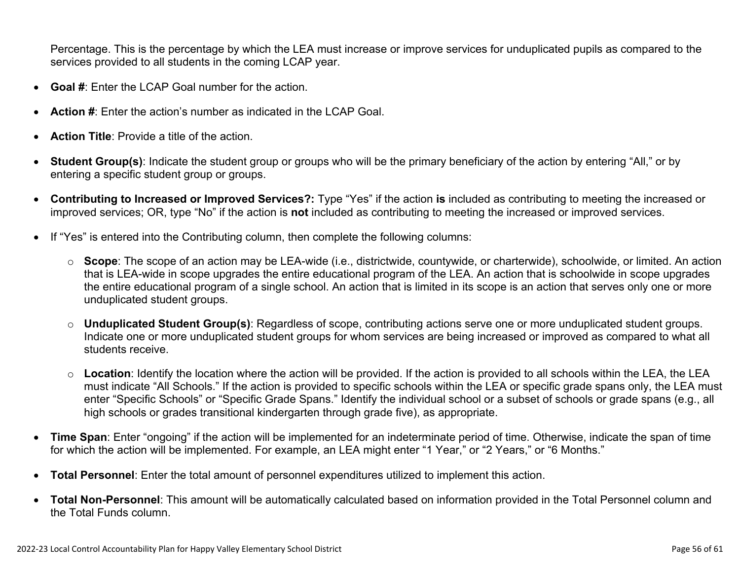Percentage. This is the percentage by which the LEA must increase or improve services for unduplicated pupils as compared to the services provided to all students in the coming LCAP year.

- **Goal #**: Enter the LCAP Goal number for the action.
- **Action #**: Enter the action's number as indicated in the LCAP Goal.
- **Action Title**: Provide a title of the action.
- **Student Group(s)**: Indicate the student group or groups who will be the primary beneficiary of the action by entering "All," or by entering a specific student group or groups.
- **Contributing to Increased or Improved Services?:** Type "Yes" if the action **is** included as contributing to meeting the increased or improved services; OR, type "No" if the action is **not** included as contributing to meeting the increased or improved services.
- If "Yes" is entered into the Contributing column, then complete the following columns:
	- o **Scope**: The scope of an action may be LEA-wide (i.e., districtwide, countywide, or charterwide), schoolwide, or limited. An action that is LEA-wide in scope upgrades the entire educational program of the LEA. An action that is schoolwide in scope upgrades the entire educational program of a single school. An action that is limited in its scope is an action that serves only one or more unduplicated student groups.
	- o **Unduplicated Student Group(s)**: Regardless of scope, contributing actions serve one or more unduplicated student groups. Indicate one or more unduplicated student groups for whom services are being increased or improved as compared to what all students receive.
	- o **Location**: Identify the location where the action will be provided. If the action is provided to all schools within the LEA, the LEA must indicate "All Schools." If the action is provided to specific schools within the LEA or specific grade spans only, the LEA must enter "Specific Schools" or "Specific Grade Spans." Identify the individual school or a subset of schools or grade spans (e.g., all high schools or grades transitional kindergarten through grade five), as appropriate.
- **Time Span**: Enter "ongoing" if the action will be implemented for an indeterminate period of time. Otherwise, indicate the span of time for which the action will be implemented. For example, an LEA might enter "1 Year," or "2 Years," or "6 Months."
- **Total Personnel**: Enter the total amount of personnel expenditures utilized to implement this action.
- **Total Non-Personnel**: This amount will be automatically calculated based on information provided in the Total Personnel column and the Total Funds column.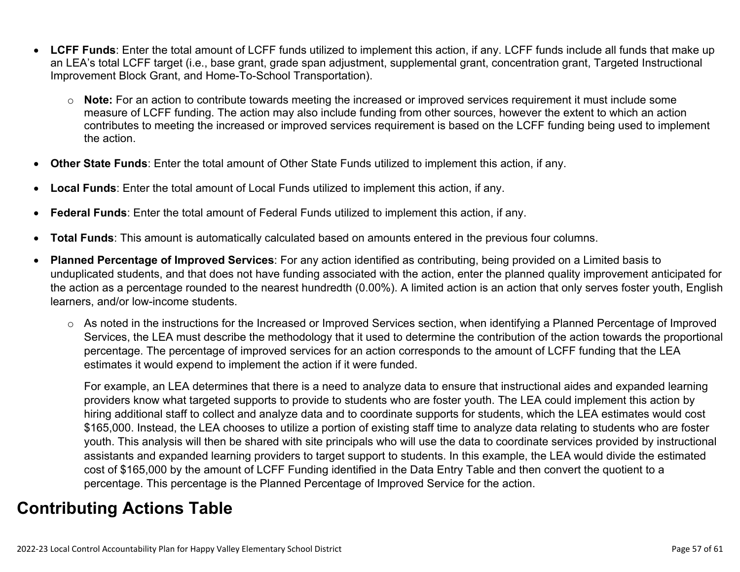- **LCFF Funds**: Enter the total amount of LCFF funds utilized to implement this action, if any. LCFF funds include all funds that make up an LEA's total LCFF target (i.e., base grant, grade span adjustment, supplemental grant, concentration grant, Targeted Instructional Improvement Block Grant, and Home-To-School Transportation).
	- o **Note:** For an action to contribute towards meeting the increased or improved services requirement it must include some measure of LCFF funding. The action may also include funding from other sources, however the extent to which an action contributes to meeting the increased or improved services requirement is based on the LCFF funding being used to implement the action.
- **Other State Funds**: Enter the total amount of Other State Funds utilized to implement this action, if any.
- **Local Funds**: Enter the total amount of Local Funds utilized to implement this action, if any.
- **Federal Funds**: Enter the total amount of Federal Funds utilized to implement this action, if any.
- **Total Funds**: This amount is automatically calculated based on amounts entered in the previous four columns.
- **Planned Percentage of Improved Services**: For any action identified as contributing, being provided on a Limited basis to unduplicated students, and that does not have funding associated with the action, enter the planned quality improvement anticipated for the action as a percentage rounded to the nearest hundredth (0.00%). A limited action is an action that only serves foster youth, English learners, and/or low-income students.
	- o As noted in the instructions for the Increased or Improved Services section, when identifying a Planned Percentage of Improved Services, the LEA must describe the methodology that it used to determine the contribution of the action towards the proportional percentage. The percentage of improved services for an action corresponds to the amount of LCFF funding that the LEA estimates it would expend to implement the action if it were funded.

For example, an LEA determines that there is a need to analyze data to ensure that instructional aides and expanded learning providers know what targeted supports to provide to students who are foster youth. The LEA could implement this action by hiring additional staff to collect and analyze data and to coordinate supports for students, which the LEA estimates would cost \$165,000. Instead, the LEA chooses to utilize a portion of existing staff time to analyze data relating to students who are foster youth. This analysis will then be shared with site principals who will use the data to coordinate services provided by instructional assistants and expanded learning providers to target support to students. In this example, the LEA would divide the estimated cost of \$165,000 by the amount of LCFF Funding identified in the Data Entry Table and then convert the quotient to a percentage. This percentage is the Planned Percentage of Improved Service for the action.

## **Contributing Actions Table**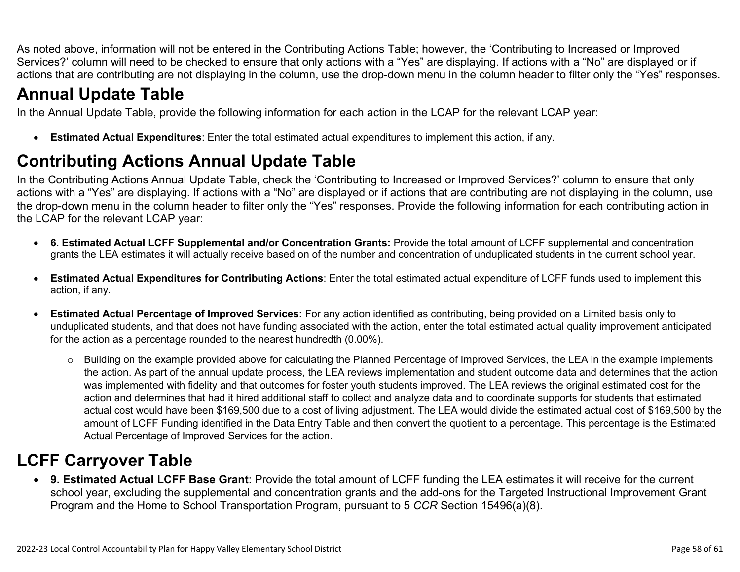As noted above, information will not be entered in the Contributing Actions Table; however, the 'Contributing to Increased or Improved Services?' column will need to be checked to ensure that only actions with a "Yes" are displaying. If actions with a "No" are displayed or if actions that are contributing are not displaying in the column, use the drop-down menu in the column header to filter only the "Yes" responses.

# **Annual Update Table**

In the Annual Update Table, provide the following information for each action in the LCAP for the relevant LCAP year:

• **Estimated Actual Expenditures**: Enter the total estimated actual expenditures to implement this action, if any.

# **Contributing Actions Annual Update Table**

In the Contributing Actions Annual Update Table, check the 'Contributing to Increased or Improved Services?' column to ensure that only actions with a "Yes" are displaying. If actions with a "No" are displayed or if actions that are contributing are not displaying in the column, use the drop-down menu in the column header to filter only the "Yes" responses. Provide the following information for each contributing action in the LCAP for the relevant LCAP year:

- **6. Estimated Actual LCFF Supplemental and/or Concentration Grants:** Provide the total amount of LCFF supplemental and concentration grants the LEA estimates it will actually receive based on of the number and concentration of unduplicated students in the current school year.
- **Estimated Actual Expenditures for Contributing Actions**: Enter the total estimated actual expenditure of LCFF funds used to implement this action, if any.
- **Estimated Actual Percentage of Improved Services:** For any action identified as contributing, being provided on a Limited basis only to unduplicated students, and that does not have funding associated with the action, enter the total estimated actual quality improvement anticipated for the action as a percentage rounded to the nearest hundredth (0.00%).
	- o Building on the example provided above for calculating the Planned Percentage of Improved Services, the LEA in the example implements the action. As part of the annual update process, the LEA reviews implementation and student outcome data and determines that the action was implemented with fidelity and that outcomes for foster youth students improved. The LEA reviews the original estimated cost for the action and determines that had it hired additional staff to collect and analyze data and to coordinate supports for students that estimated actual cost would have been \$169,500 due to a cost of living adjustment. The LEA would divide the estimated actual cost of \$169,500 by the amount of LCFF Funding identified in the Data Entry Table and then convert the quotient to a percentage. This percentage is the Estimated Actual Percentage of Improved Services for the action.

# **LCFF Carryover Table**

• **9. Estimated Actual LCFF Base Grant**: Provide the total amount of LCFF funding the LEA estimates it will receive for the current school year, excluding the supplemental and concentration grants and the add-ons for the Targeted Instructional Improvement Grant Program and the Home to School Transportation Program, pursuant to 5 *CCR* Section 15496(a)(8).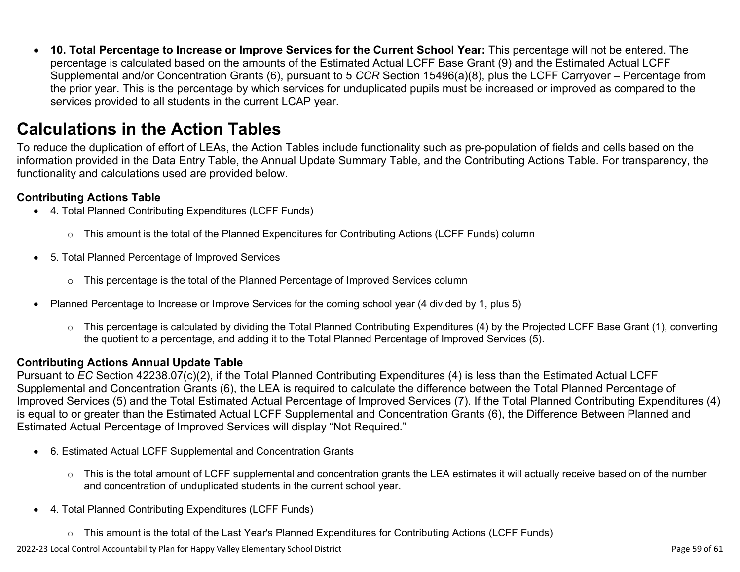• **10. Total Percentage to Increase or Improve Services for the Current School Year:** This percentage will not be entered. The percentage is calculated based on the amounts of the Estimated Actual LCFF Base Grant (9) and the Estimated Actual LCFF Supplemental and/or Concentration Grants (6), pursuant to 5 *CCR* Section 15496(a)(8), plus the LCFF Carryover – Percentage from the prior year. This is the percentage by which services for unduplicated pupils must be increased or improved as compared to the services provided to all students in the current LCAP year.

## **Calculations in the Action Tables**

To reduce the duplication of effort of LEAs, the Action Tables include functionality such as pre-population of fields and cells based on the information provided in the Data Entry Table, the Annual Update Summary Table, and the Contributing Actions Table. For transparency, the functionality and calculations used are provided below.

### **Contributing Actions Table**

- 4. Total Planned Contributing Expenditures (LCFF Funds)
	- $\circ$  This amount is the total of the Planned Expenditures for Contributing Actions (LCFF Funds) column
- 5. Total Planned Percentage of Improved Services
	- $\circ$  This percentage is the total of the Planned Percentage of Improved Services column
- Planned Percentage to Increase or Improve Services for the coming school year (4 divided by 1, plus 5)
	- o This percentage is calculated by dividing the Total Planned Contributing Expenditures (4) by the Projected LCFF Base Grant (1), converting the quotient to a percentage, and adding it to the Total Planned Percentage of Improved Services (5).

### **Contributing Actions Annual Update Table**

Pursuant to *EC* Section 42238.07(c)(2), if the Total Planned Contributing Expenditures (4) is less than the Estimated Actual LCFF Supplemental and Concentration Grants (6), the LEA is required to calculate the difference between the Total Planned Percentage of Improved Services (5) and the Total Estimated Actual Percentage of Improved Services (7). If the Total Planned Contributing Expenditures (4) is equal to or greater than the Estimated Actual LCFF Supplemental and Concentration Grants (6), the Difference Between Planned and Estimated Actual Percentage of Improved Services will display "Not Required."

- 6. Estimated Actual LCFF Supplemental and Concentration Grants
	- o This is the total amount of LCFF supplemental and concentration grants the LEA estimates it will actually receive based on of the number and concentration of unduplicated students in the current school year.
- 4. Total Planned Contributing Expenditures (LCFF Funds)
	- $\circ$  This amount is the total of the Last Year's Planned Expenditures for Contributing Actions (LCFF Funds)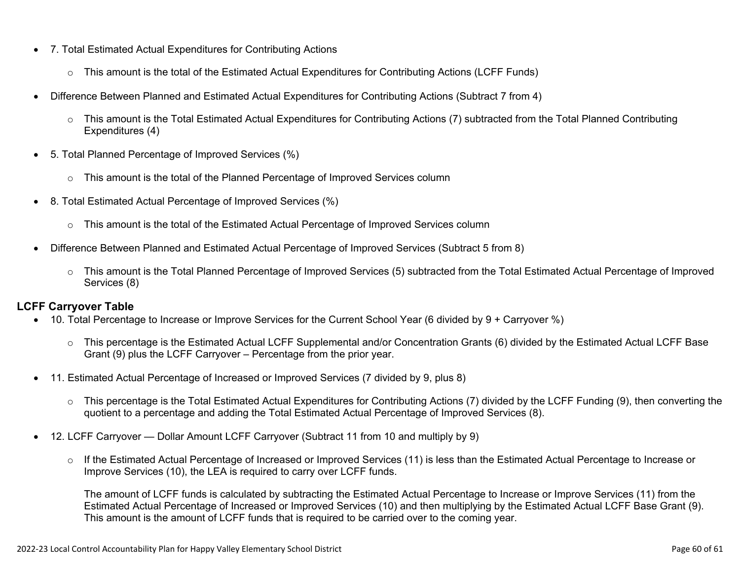- 7. Total Estimated Actual Expenditures for Contributing Actions
	- o This amount is the total of the Estimated Actual Expenditures for Contributing Actions (LCFF Funds)
- Difference Between Planned and Estimated Actual Expenditures for Contributing Actions (Subtract 7 from 4)
	- $\circ$  This amount is the Total Estimated Actual Expenditures for Contributing Actions (7) subtracted from the Total Planned Contributing Expenditures (4)
- 5. Total Planned Percentage of Improved Services (%)
	- o This amount is the total of the Planned Percentage of Improved Services column
- 8. Total Estimated Actual Percentage of Improved Services (%)
	- o This amount is the total of the Estimated Actual Percentage of Improved Services column
- Difference Between Planned and Estimated Actual Percentage of Improved Services (Subtract 5 from 8)
	- o This amount is the Total Planned Percentage of Improved Services (5) subtracted from the Total Estimated Actual Percentage of Improved Services (8)

### **LCFF Carryover Table**

- 10. Total Percentage to Increase or Improve Services for the Current School Year (6 divided by 9 + Carryover %)
	- $\circ$  This percentage is the Estimated Actual LCFF Supplemental and/or Concentration Grants (6) divided by the Estimated Actual LCFF Base Grant (9) plus the LCFF Carryover – Percentage from the prior year.
- 11. Estimated Actual Percentage of Increased or Improved Services (7 divided by 9, plus 8)
	- o This percentage is the Total Estimated Actual Expenditures for Contributing Actions (7) divided by the LCFF Funding (9), then converting the quotient to a percentage and adding the Total Estimated Actual Percentage of Improved Services (8).
- 12. LCFF Carryover Dollar Amount LCFF Carryover (Subtract 11 from 10 and multiply by 9)
	- $\circ$  If the Estimated Actual Percentage of Increased or Improved Services (11) is less than the Estimated Actual Percentage to Increase or Improve Services (10), the LEA is required to carry over LCFF funds.

The amount of LCFF funds is calculated by subtracting the Estimated Actual Percentage to Increase or Improve Services (11) from the Estimated Actual Percentage of Increased or Improved Services (10) and then multiplying by the Estimated Actual LCFF Base Grant (9). This amount is the amount of LCFF funds that is required to be carried over to the coming year.